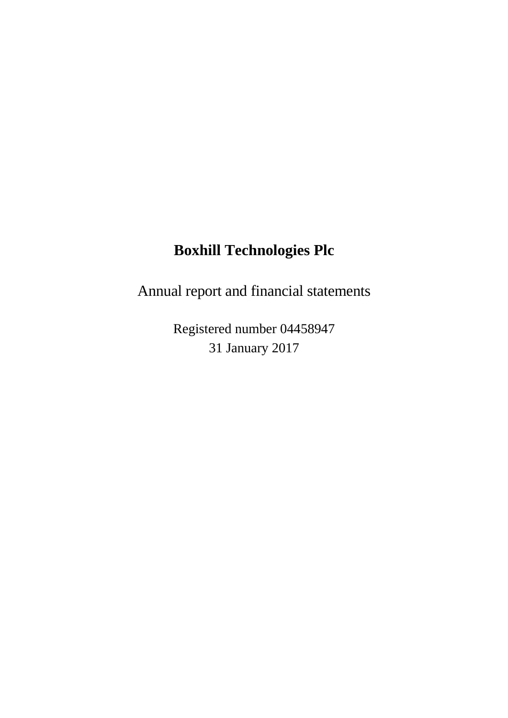# **Boxhill Technologies Plc**

Annual report and financial statements

Registered number 04458947 31 January 2017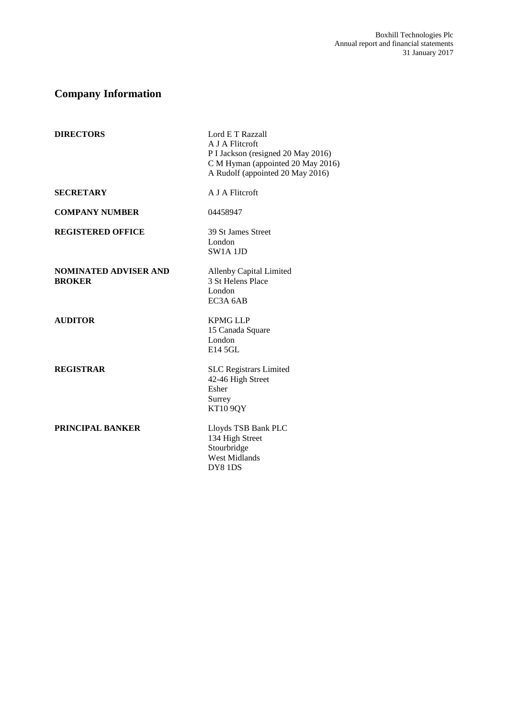# **Company Information**

| <b>DIRECTORS</b>                              | Lord E T Razzall<br>A J A Flitcroft<br>P I Jackson (resigned 20 May 2016)<br>C M Hyman (appointed 20 May 2016)<br>A Rudolf (appointed 20 May 2016) |
|-----------------------------------------------|----------------------------------------------------------------------------------------------------------------------------------------------------|
| <b>SECRETARY</b>                              | A J A Flitcroft                                                                                                                                    |
| <b>COMPANY NUMBER</b>                         | 04458947                                                                                                                                           |
| <b>REGISTERED OFFICE</b>                      | 39 St James Street<br>London<br>SW <sub>1</sub> A 1JD                                                                                              |
| <b>NOMINATED ADVISER AND</b><br><b>BROKER</b> | Allenby Capital Limited<br>3 St Helens Place<br>London<br>EC3A 6AB                                                                                 |
| <b>AUDITOR</b>                                | <b>KPMG LLP</b><br>15 Canada Square<br>London<br>E14 5GL                                                                                           |
| <b>REGISTRAR</b>                              | <b>SLC Registrars Limited</b><br>42-46 High Street<br>Esher<br>Surrey<br><b>KT10 9QY</b>                                                           |
| <b>PRINCIPAL BANKER</b>                       | Lloyds TSB Bank PLC<br>134 High Street<br>Stourbridge<br><b>West Midlands</b><br>DY8 1DS                                                           |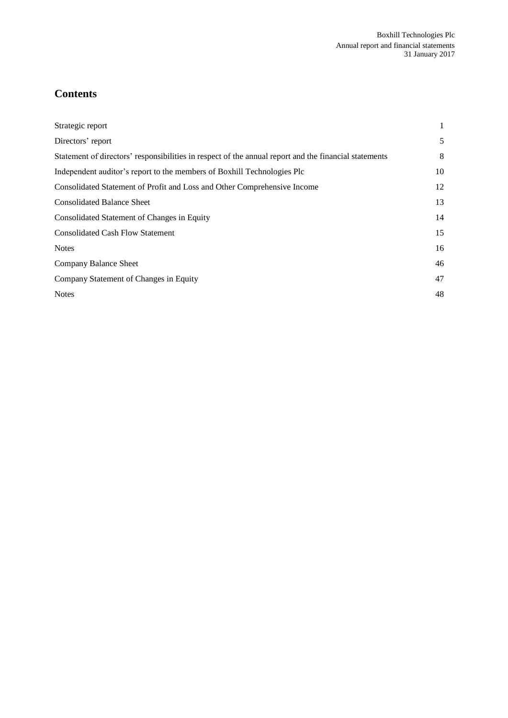# **Contents**

| Strategic report                                                                                      |    |
|-------------------------------------------------------------------------------------------------------|----|
| Directors' report                                                                                     | 5  |
| Statement of directors' responsibilities in respect of the annual report and the financial statements | 8  |
| Independent auditor's report to the members of Boxhill Technologies Plc                               | 10 |
| Consolidated Statement of Profit and Loss and Other Comprehensive Income                              | 12 |
| <b>Consolidated Balance Sheet</b>                                                                     | 13 |
| Consolidated Statement of Changes in Equity                                                           | 14 |
| <b>Consolidated Cash Flow Statement</b>                                                               | 15 |
| <b>Notes</b>                                                                                          | 16 |
| Company Balance Sheet                                                                                 | 46 |
| Company Statement of Changes in Equity                                                                | 47 |
| <b>Notes</b>                                                                                          | 48 |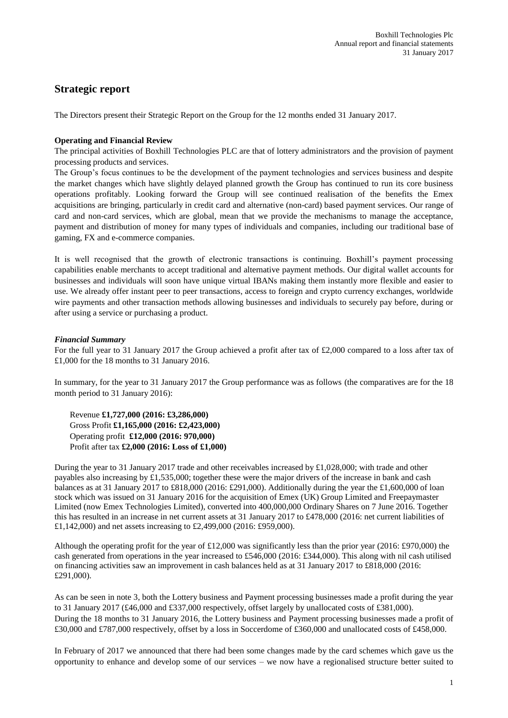# **Strategic report**

The Directors present their Strategic Report on the Group for the 12 months ended 31 January 2017.

#### **Operating and Financial Review**

The principal activities of Boxhill Technologies PLC are that of lottery administrators and the provision of payment processing products and services.

The Group's focus continues to be the development of the payment technologies and services business and despite the market changes which have slightly delayed planned growth the Group has continued to run its core business operations profitably. Looking forward the Group will see continued realisation of the benefits the Emex acquisitions are bringing, particularly in credit card and alternative (non-card) based payment services. Our range of card and non-card services, which are global, mean that we provide the mechanisms to manage the acceptance, payment and distribution of money for many types of individuals and companies, including our traditional base of gaming, FX and e-commerce companies.

It is well recognised that the growth of electronic transactions is continuing. Boxhill's payment processing capabilities enable merchants to accept traditional and alternative payment methods. Our digital wallet accounts for businesses and individuals will soon have unique virtual IBANs making them instantly more flexible and easier to use. We already offer instant peer to peer transactions, access to foreign and crypto currency exchanges, worldwide wire payments and other transaction methods allowing businesses and individuals to securely pay before, during or after using a service or purchasing a product.

#### *Financial Summary*

For the full year to 31 January 2017 the Group achieved a profit after tax of £2,000 compared to a loss after tax of £1,000 for the 18 months to 31 January 2016.

In summary, for the year to 31 January 2017 the Group performance was as follows (the comparatives are for the 18 month period to 31 January 2016):

Revenue **£1,727,000 (2016: £3,286,000)** Gross Profit **£1,165,000 (2016: £2,423,000)** Operating profit **£12,000 (2016: 970,000)** Profit after tax **£2,000 (2016: Loss of £1,000)**

During the year to 31 January 2017 trade and other receivables increased by £1,028,000; with trade and other payables also increasing by £1,535,000; together these were the major drivers of the increase in bank and cash balances as at 31 January 2017 to £818,000 (2016: £291,000). Additionally during the year the £1,600,000 of loan stock which was issued on 31 January 2016 for the acquisition of Emex (UK) Group Limited and Freepaymaster Limited (now Emex Technologies Limited), converted into 400,000,000 Ordinary Shares on 7 June 2016. Together this has resulted in an increase in net current assets at 31 January 2017 to £478,000 (2016: net current liabilities of £1,142,000) and net assets increasing to £2,499,000 (2016: £959,000).

Although the operating profit for the year of £12,000 was significantly less than the prior year (2016: £970,000) the cash generated from operations in the year increased to £546,000 (2016: £344,000). This along with nil cash utilised on financing activities saw an improvement in cash balances held as at 31 January 2017 to £818,000 (2016: £291,000).

As can be seen in note 3, both the Lottery business and Payment processing businesses made a profit during the year to 31 January 2017 (£46,000 and £337,000 respectively, offset largely by unallocated costs of £381,000). During the 18 months to 31 January 2016, the Lottery business and Payment processing businesses made a profit of £30,000 and £787,000 respectively, offset by a loss in Soccerdome of £360,000 and unallocated costs of £458,000.

In February of 2017 we announced that there had been some changes made by the card schemes which gave us the opportunity to enhance and develop some of our services – we now have a regionalised structure better suited to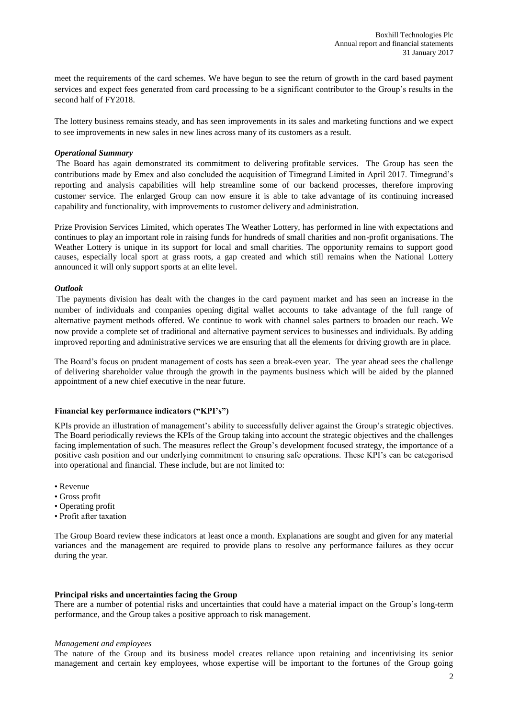meet the requirements of the card schemes. We have begun to see the return of growth in the card based payment services and expect fees generated from card processing to be a significant contributor to the Group's results in the second half of FY2018.

The lottery business remains steady, and has seen improvements in its sales and marketing functions and we expect to see improvements in new sales in new lines across many of its customers as a result.

#### *Operational Summary*

The Board has again demonstrated its commitment to delivering profitable services. The Group has seen the contributions made by Emex and also concluded the acquisition of Timegrand Limited in April 2017. Timegrand's reporting and analysis capabilities will help streamline some of our backend processes, therefore improving customer service. The enlarged Group can now ensure it is able to take advantage of its continuing increased capability and functionality, with improvements to customer delivery and administration.

Prize Provision Services Limited, which operates The Weather Lottery, has performed in line with expectations and continues to play an important role in raising funds for hundreds of small charities and non-profit organisations. The Weather Lottery is unique in its support for local and small charities. The opportunity remains to support good causes, especially local sport at grass roots, a gap created and which still remains when the National Lottery announced it will only support sports at an elite level.

#### *Outlook*

The payments division has dealt with the changes in the card payment market and has seen an increase in the number of individuals and companies opening digital wallet accounts to take advantage of the full range of alternative payment methods offered. We continue to work with channel sales partners to broaden our reach. We now provide a complete set of traditional and alternative payment services to businesses and individuals. By adding improved reporting and administrative services we are ensuring that all the elements for driving growth are in place.

The Board's focus on prudent management of costs has seen a break-even year. The year ahead sees the challenge of delivering shareholder value through the growth in the payments business which will be aided by the planned appointment of a new chief executive in the near future.

#### **Financial key performance indicators ("KPI's")**

KPIs provide an illustration of management's ability to successfully deliver against the Group's strategic objectives. The Board periodically reviews the KPIs of the Group taking into account the strategic objectives and the challenges facing implementation of such. The measures reflect the Group's development focused strategy, the importance of a positive cash position and our underlying commitment to ensuring safe operations. These KPI's can be categorised into operational and financial. These include, but are not limited to:

- Revenue
- Gross profit
- Operating profit
- Profit after taxation

The Group Board review these indicators at least once a month. Explanations are sought and given for any material variances and the management are required to provide plans to resolve any performance failures as they occur during the year.

#### **Principal risks and uncertainties facing the Group**

There are a number of potential risks and uncertainties that could have a material impact on the Group's long-term performance, and the Group takes a positive approach to risk management.

#### *Management and employees*

The nature of the Group and its business model creates reliance upon retaining and incentivising its senior management and certain key employees, whose expertise will be important to the fortunes of the Group going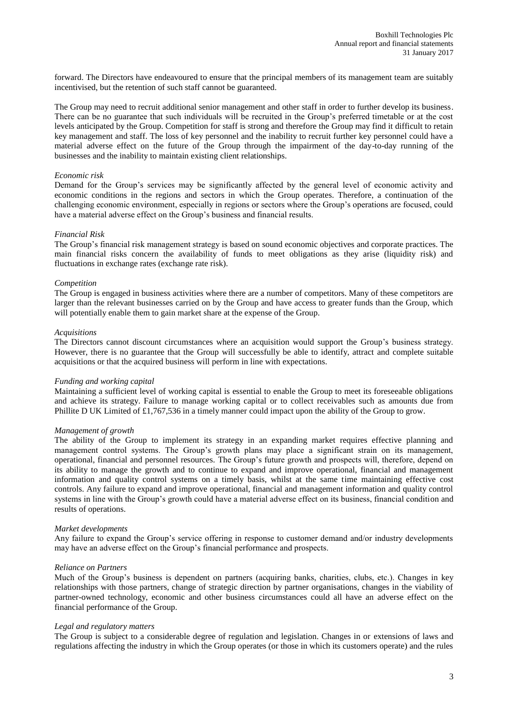forward. The Directors have endeavoured to ensure that the principal members of its management team are suitably incentivised, but the retention of such staff cannot be guaranteed.

The Group may need to recruit additional senior management and other staff in order to further develop its business. There can be no guarantee that such individuals will be recruited in the Group's preferred timetable or at the cost levels anticipated by the Group. Competition for staff is strong and therefore the Group may find it difficult to retain key management and staff. The loss of key personnel and the inability to recruit further key personnel could have a material adverse effect on the future of the Group through the impairment of the day-to-day running of the businesses and the inability to maintain existing client relationships.

#### *Economic risk*

Demand for the Group's services may be significantly affected by the general level of economic activity and economic conditions in the regions and sectors in which the Group operates. Therefore, a continuation of the challenging economic environment, especially in regions or sectors where the Group's operations are focused, could have a material adverse effect on the Group's business and financial results.

#### *Financial Risk*

The Group's financial risk management strategy is based on sound economic objectives and corporate practices. The main financial risks concern the availability of funds to meet obligations as they arise (liquidity risk) and fluctuations in exchange rates (exchange rate risk).

#### *Competition*

The Group is engaged in business activities where there are a number of competitors. Many of these competitors are larger than the relevant businesses carried on by the Group and have access to greater funds than the Group, which will potentially enable them to gain market share at the expense of the Group.

#### *Acquisitions*

The Directors cannot discount circumstances where an acquisition would support the Group's business strategy. However, there is no guarantee that the Group will successfully be able to identify, attract and complete suitable acquisitions or that the acquired business will perform in line with expectations.

#### *Funding and working capital*

Maintaining a sufficient level of working capital is essential to enable the Group to meet its foreseeable obligations and achieve its strategy. Failure to manage working capital or to collect receivables such as amounts due from Phillite D UK Limited of £1,767,536 in a timely manner could impact upon the ability of the Group to grow.

#### *Management of growth*

The ability of the Group to implement its strategy in an expanding market requires effective planning and management control systems. The Group's growth plans may place a significant strain on its management, operational, financial and personnel resources. The Group's future growth and prospects will, therefore, depend on its ability to manage the growth and to continue to expand and improve operational, financial and management information and quality control systems on a timely basis, whilst at the same time maintaining effective cost controls. Any failure to expand and improve operational, financial and management information and quality control systems in line with the Group's growth could have a material adverse effect on its business, financial condition and results of operations.

#### *Market developments*

Any failure to expand the Group's service offering in response to customer demand and/or industry developments may have an adverse effect on the Group's financial performance and prospects.

#### *Reliance on Partners*

Much of the Group's business is dependent on partners (acquiring banks, charities, clubs, etc.). Changes in key relationships with those partners, change of strategic direction by partner organisations, changes in the viability of partner-owned technology, economic and other business circumstances could all have an adverse effect on the financial performance of the Group.

#### *Legal and regulatory matters*

The Group is subject to a considerable degree of regulation and legislation. Changes in or extensions of laws and regulations affecting the industry in which the Group operates (or those in which its customers operate) and the rules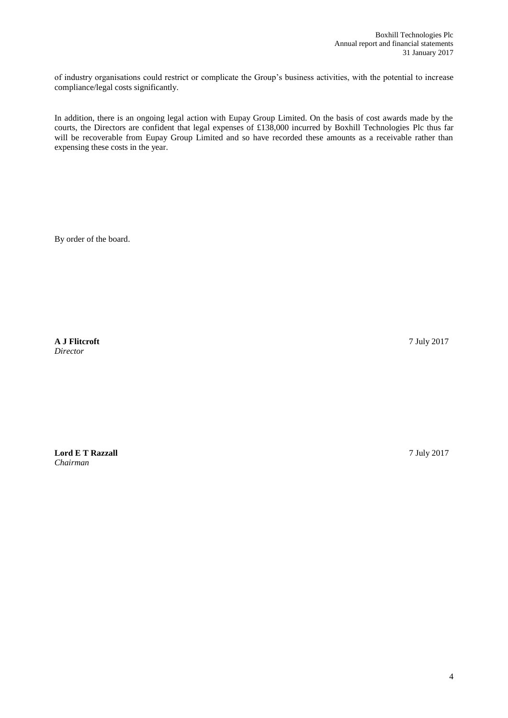of industry organisations could restrict or complicate the Group's business activities, with the potential to increase compliance/legal costs significantly.

In addition, there is an ongoing legal action with Eupay Group Limited. On the basis of cost awards made by the courts, the Directors are confident that legal expenses of £138,000 incurred by Boxhill Technologies Plc thus far will be recoverable from Eupay Group Limited and so have recorded these amounts as a receivable rather than expensing these costs in the year.

By order of the board.

**A J Flitcroft** *Director*

7 July 2017

**Lord E T Razzall** *Chairman*

7 July 2017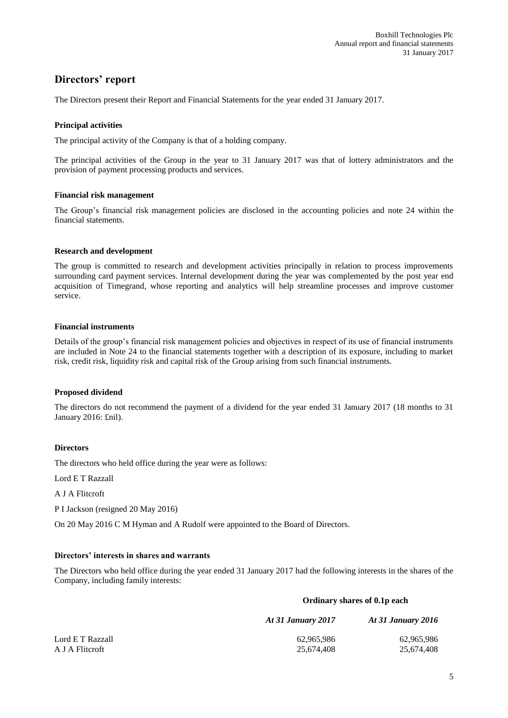# **Directors' report**

The Directors present their Report and Financial Statements for the year ended 31 January 2017.

#### **Principal activities**

The principal activity of the Company is that of a holding company.

The principal activities of the Group in the year to 31 January 2017 was that of lottery administrators and the provision of payment processing products and services.

#### **Financial risk management**

The Group's financial risk management policies are disclosed in the accounting policies and note 24 within the financial statements.

#### **Research and development**

The group is committed to research and development activities principally in relation to process improvements surrounding card payment services. Internal development during the year was complemented by the post year end acquisition of Timegrand, whose reporting and analytics will help streamline processes and improve customer service.

#### **Financial instruments**

Details of the group's financial risk management policies and objectives in respect of its use of financial instruments are included in Note 24 to the financial statements together with a description of its exposure, including to market risk, credit risk, liquidity risk and capital risk of the Group arising from such financial instruments.

#### **Proposed dividend**

The directors do not recommend the payment of a dividend for the year ended 31 January 2017 (18 months to 31 January 2016: £nil).

#### **Directors**

The directors who held office during the year were as follows:

Lord E T Razzall

A J A Flitcroft

P I Jackson (resigned 20 May 2016)

On 20 May 2016 C M Hyman and A Rudolf were appointed to the Board of Directors.

#### **Directors' interests in shares and warrants**

The Directors who held office during the year ended 31 January 2017 had the following interests in the shares of the Company, including family interests:

#### **Ordinary shares of 0.1p each**

|                  | At 31 January 2017 | At 31 January 2016       |
|------------------|--------------------|--------------------------|
| Lord E T Razzall | 62.965.986         | 62.965.986<br>25.674.408 |
| A J A Flitcroft  | 25.674.408         |                          |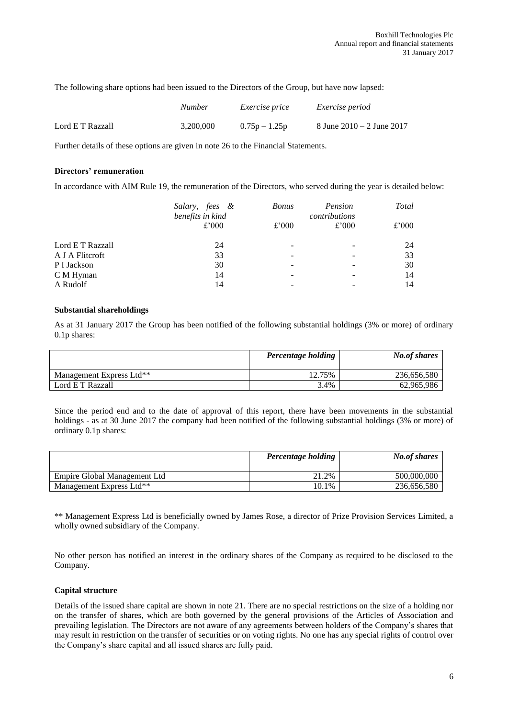The following share options had been issued to the Directors of the Group, but have now lapsed:

|                  | <i>Number</i> | <i>Exercise price</i> | <i>Exercise period</i>        |
|------------------|---------------|-----------------------|-------------------------------|
| Lord E T Razzall | 3.200,000     | $0.75p - 1.25p$       | 8 June $2010 - 2$ June $2017$ |

Further details of these options are given in note 26 to the Financial Statements.

#### **Directors' remuneration**

In accordance with AIM Rule 19, the remuneration of the Directors, who served during the year is detailed below:

|                  | Salary, fees &<br>benefits in kind | <b>Bonus</b> | Pension<br>contributions | Total |
|------------------|------------------------------------|--------------|--------------------------|-------|
|                  | £'000                              | £'000        | £'000                    | £'000 |
| Lord E T Razzall | 24                                 |              |                          | 24    |
| A J A Flitcroft  | 33                                 |              |                          | 33    |
| P I Jackson      | 30                                 |              |                          | 30    |
| C M Hyman        | 14                                 |              |                          | 14    |
| A Rudolf         | 14                                 |              |                          | 14    |

#### **Substantial shareholdings**

As at 31 January 2017 the Group has been notified of the following substantial holdings (3% or more) of ordinary 0.1p shares:

|                          | Percentage holding | No.of shares |
|--------------------------|--------------------|--------------|
| Management Express Ltd** | 12.75%             | 236,656,580  |
| Lord E T Razzall         | 3.4%               | 62,965,986   |

Since the period end and to the date of approval of this report, there have been movements in the substantial holdings - as at 30 June 2017 the company had been notified of the following substantial holdings (3% or more) of ordinary 0.1p shares:

|                              | Percentage holding | <b>No.of shares</b> |
|------------------------------|--------------------|---------------------|
| Empire Global Management Ltd | 21.2%              | 500,000,000         |
| Management Express Ltd**     | 10.1%              | 236,656,580         |

\*\* Management Express Ltd is beneficially owned by James Rose, a director of Prize Provision Services Limited, a wholly owned subsidiary of the Company.

No other person has notified an interest in the ordinary shares of the Company as required to be disclosed to the Company.

#### **Capital structure**

Details of the issued share capital are shown in note 21. There are no special restrictions on the size of a holding nor on the transfer of shares, which are both governed by the general provisions of the Articles of Association and prevailing legislation. The Directors are not aware of any agreements between holders of the Company's shares that may result in restriction on the transfer of securities or on voting rights. No one has any special rights of control over the Company's share capital and all issued shares are fully paid.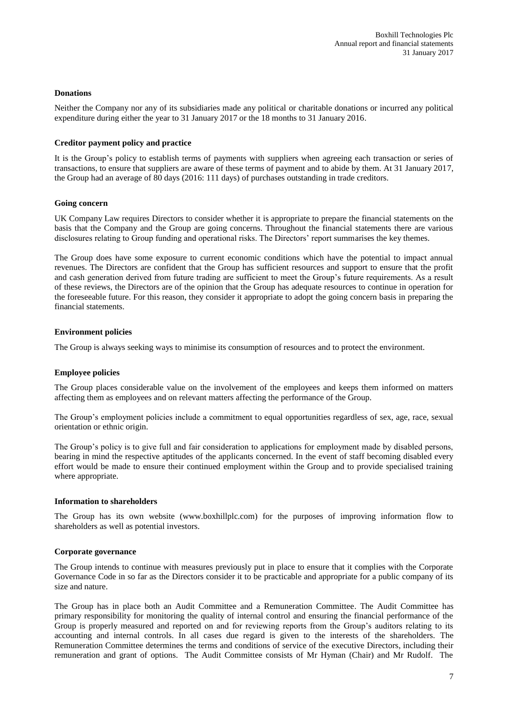#### **Donations**

Neither the Company nor any of its subsidiaries made any political or charitable donations or incurred any political expenditure during either the year to 31 January 2017 or the 18 months to 31 January 2016.

#### **Creditor payment policy and practice**

It is the Group's policy to establish terms of payments with suppliers when agreeing each transaction or series of transactions, to ensure that suppliers are aware of these terms of payment and to abide by them. At 31 January 2017, the Group had an average of 80 days (2016: 111 days) of purchases outstanding in trade creditors.

#### **Going concern**

UK Company Law requires Directors to consider whether it is appropriate to prepare the financial statements on the basis that the Company and the Group are going concerns. Throughout the financial statements there are various disclosures relating to Group funding and operational risks. The Directors' report summarises the key themes.

The Group does have some exposure to current economic conditions which have the potential to impact annual revenues. The Directors are confident that the Group has sufficient resources and support to ensure that the profit and cash generation derived from future trading are sufficient to meet the Group's future requirements. As a result of these reviews, the Directors are of the opinion that the Group has adequate resources to continue in operation for the foreseeable future. For this reason, they consider it appropriate to adopt the going concern basis in preparing the financial statements.

#### **Environment policies**

The Group is always seeking ways to minimise its consumption of resources and to protect the environment.

#### **Employee policies**

The Group places considerable value on the involvement of the employees and keeps them informed on matters affecting them as employees and on relevant matters affecting the performance of the Group.

The Group's employment policies include a commitment to equal opportunities regardless of sex, age, race, sexual orientation or ethnic origin.

The Group's policy is to give full and fair consideration to applications for employment made by disabled persons, bearing in mind the respective aptitudes of the applicants concerned. In the event of staff becoming disabled every effort would be made to ensure their continued employment within the Group and to provide specialised training where appropriate.

#### **Information to shareholders**

The Group has its own website (www.boxhillplc.com) for the purposes of improving information flow to shareholders as well as potential investors.

#### **Corporate governance**

The Group intends to continue with measures previously put in place to ensure that it complies with the Corporate Governance Code in so far as the Directors consider it to be practicable and appropriate for a public company of its size and nature.

The Group has in place both an Audit Committee and a Remuneration Committee. The Audit Committee has primary responsibility for monitoring the quality of internal control and ensuring the financial performance of the Group is properly measured and reported on and for reviewing reports from the Group's auditors relating to its accounting and internal controls. In all cases due regard is given to the interests of the shareholders. The Remuneration Committee determines the terms and conditions of service of the executive Directors, including their remuneration and grant of options. The Audit Committee consists of Mr Hyman (Chair) and Mr Rudolf. The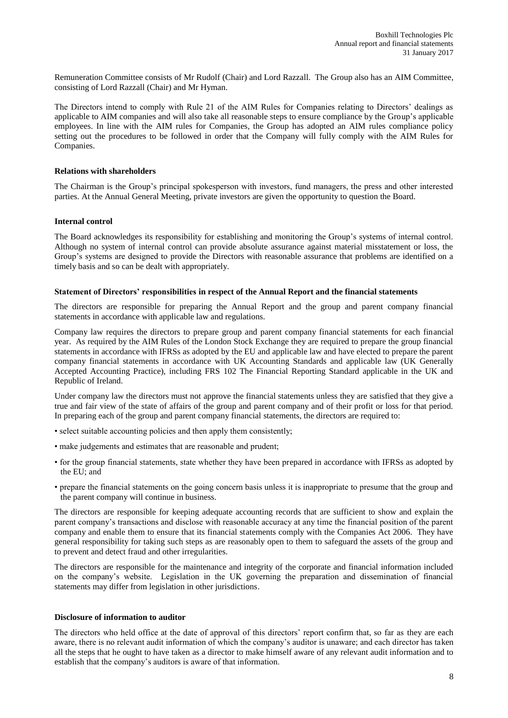Remuneration Committee consists of Mr Rudolf (Chair) and Lord Razzall. The Group also has an AIM Committee, consisting of Lord Razzall (Chair) and Mr Hyman.

The Directors intend to comply with Rule 21 of the AIM Rules for Companies relating to Directors' dealings as applicable to AIM companies and will also take all reasonable steps to ensure compliance by the Group's applicable employees. In line with the AIM rules for Companies, the Group has adopted an AIM rules compliance policy setting out the procedures to be followed in order that the Company will fully comply with the AIM Rules for Companies.

#### **Relations with shareholders**

The Chairman is the Group's principal spokesperson with investors, fund managers, the press and other interested parties. At the Annual General Meeting, private investors are given the opportunity to question the Board.

#### **Internal control**

The Board acknowledges its responsibility for establishing and monitoring the Group's systems of internal control. Although no system of internal control can provide absolute assurance against material misstatement or loss, the Group's systems are designed to provide the Directors with reasonable assurance that problems are identified on a timely basis and so can be dealt with appropriately.

#### **Statement of Directors' responsibilities in respect of the Annual Report and the financial statements**

The directors are responsible for preparing the Annual Report and the group and parent company financial statements in accordance with applicable law and regulations.

Company law requires the directors to prepare group and parent company financial statements for each financial year. As required by the AIM Rules of the London Stock Exchange they are required to prepare the group financial statements in accordance with IFRSs as adopted by the EU and applicable law and have elected to prepare the parent company financial statements in accordance with UK Accounting Standards and applicable law (UK Generally Accepted Accounting Practice), including FRS 102 The Financial Reporting Standard applicable in the UK and Republic of Ireland.

Under company law the directors must not approve the financial statements unless they are satisfied that they give a true and fair view of the state of affairs of the group and parent company and of their profit or loss for that period. In preparing each of the group and parent company financial statements, the directors are required to:

- select suitable accounting policies and then apply them consistently;
- make judgements and estimates that are reasonable and prudent;
- for the group financial statements, state whether they have been prepared in accordance with IFRSs as adopted by the EU; and
- prepare the financial statements on the going concern basis unless it is inappropriate to presume that the group and the parent company will continue in business.

The directors are responsible for keeping adequate accounting records that are sufficient to show and explain the parent company's transactions and disclose with reasonable accuracy at any time the financial position of the parent company and enable them to ensure that its financial statements comply with the Companies Act 2006. They have general responsibility for taking such steps as are reasonably open to them to safeguard the assets of the group and to prevent and detect fraud and other irregularities.

The directors are responsible for the maintenance and integrity of the corporate and financial information included on the company's website. Legislation in the UK governing the preparation and dissemination of financial statements may differ from legislation in other jurisdictions.

#### **Disclosure of information to auditor**

The directors who held office at the date of approval of this directors' report confirm that, so far as they are each aware, there is no relevant audit information of which the company's auditor is unaware; and each director has taken all the steps that he ought to have taken as a director to make himself aware of any relevant audit information and to establish that the company's auditors is aware of that information.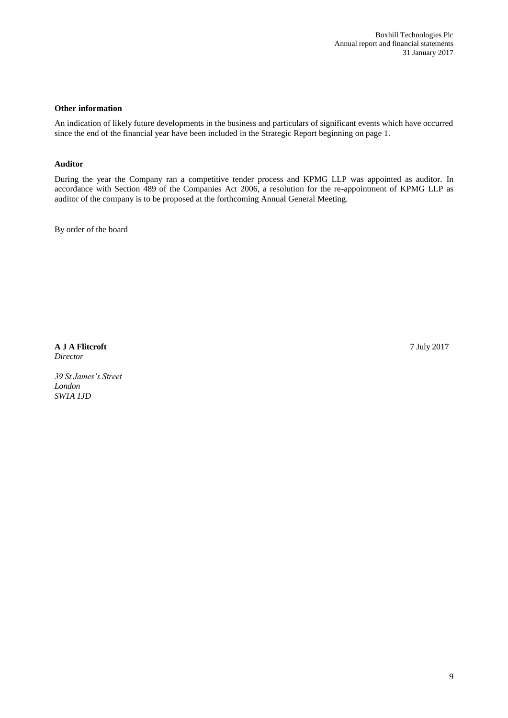#### **Other information**

An indication of likely future developments in the business and particulars of significant events which have occurred since the end of the financial year have been included in the Strategic Report beginning on page 1.

#### **Auditor**

During the year the Company ran a competitive tender process and KPMG LLP was appointed as auditor. In accordance with Section 489 of the Companies Act 2006, a resolution for the re-appointment of KPMG LLP as auditor of the company is to be proposed at the forthcoming Annual General Meeting.

By order of the board

**A J A Flitcroft** *Director*

7 July 2017

*39 St James's Street London SW1A 1JD*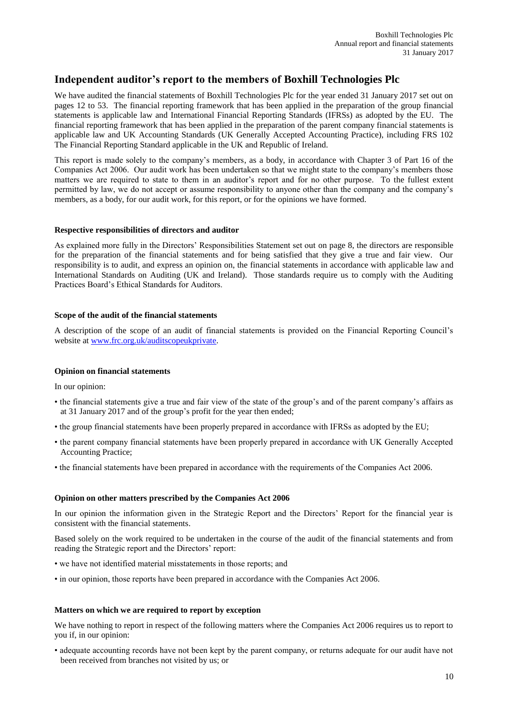## **Independent auditor's report to the members of Boxhill Technologies Plc**

We have audited the financial statements of Boxhill Technologies Plc for the year ended 31 January 2017 set out on pages 12 to 53. The financial reporting framework that has been applied in the preparation of the group financial statements is applicable law and International Financial Reporting Standards (IFRSs) as adopted by the EU. The financial reporting framework that has been applied in the preparation of the parent company financial statements is applicable law and UK Accounting Standards (UK Generally Accepted Accounting Practice), including FRS 102 The Financial Reporting Standard applicable in the UK and Republic of Ireland.

This report is made solely to the company's members, as a body, in accordance with Chapter 3 of Part 16 of the Companies Act 2006. Our audit work has been undertaken so that we might state to the company's members those matters we are required to state to them in an auditor's report and for no other purpose. To the fullest extent permitted by law, we do not accept or assume responsibility to anyone other than the company and the company's members, as a body, for our audit work, for this report, or for the opinions we have formed.

#### **Respective responsibilities of directors and auditor**

As explained more fully in the Directors' Responsibilities Statement set out on page 8, the directors are responsible for the preparation of the financial statements and for being satisfied that they give a true and fair view. Our responsibility is to audit, and express an opinion on, the financial statements in accordance with applicable law and International Standards on Auditing (UK and Ireland). Those standards require us to comply with the Auditing Practices Board's Ethical Standards for Auditors.

#### **Scope of the audit of the financial statements**

A description of the scope of an audit of financial statements is provided on the Financial Reporting Council's website a[t www.frc.org.uk/auditscopeukprivate.](http://www.frc.org.uk/auditscopeukprivate)

#### **Opinion on financial statements**

In our opinion:

- the financial statements give a true and fair view of the state of the group's and of the parent company's affairs as at 31 January 2017 and of the group's profit for the year then ended;
- the group financial statements have been properly prepared in accordance with IFRSs as adopted by the EU;
- the parent company financial statements have been properly prepared in accordance with UK Generally Accepted Accounting Practice;
- the financial statements have been prepared in accordance with the requirements of the Companies Act 2006.

#### **Opinion on other matters prescribed by the Companies Act 2006**

In our opinion the information given in the Strategic Report and the Directors' Report for the financial year is consistent with the financial statements.

Based solely on the work required to be undertaken in the course of the audit of the financial statements and from reading the Strategic report and the Directors' report:

- we have not identified material misstatements in those reports; and
- in our opinion, those reports have been prepared in accordance with the Companies Act 2006.

#### **Matters on which we are required to report by exception**

We have nothing to report in respect of the following matters where the Companies Act 2006 requires us to report to you if, in our opinion:

• adequate accounting records have not been kept by the parent company, or returns adequate for our audit have not been received from branches not visited by us; or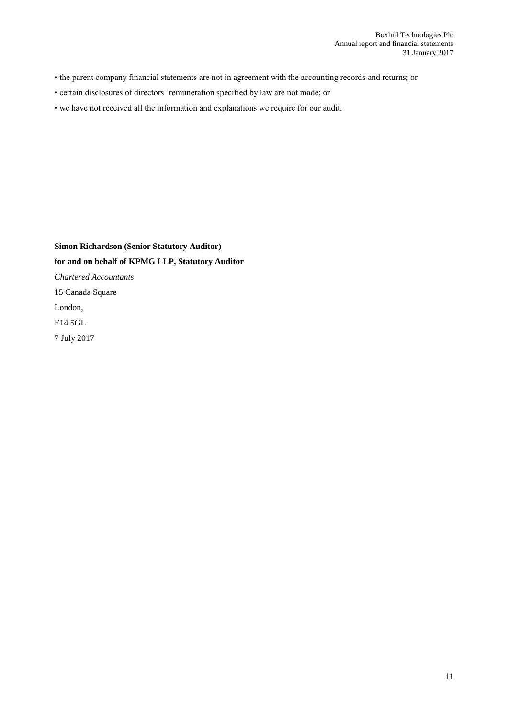- the parent company financial statements are not in agreement with the accounting records and returns; or
- certain disclosures of directors' remuneration specified by law are not made; or
- we have not received all the information and explanations we require for our audit.

**Simon Richardson (Senior Statutory Auditor) for and on behalf of KPMG LLP, Statutory Auditor**  *Chartered Accountants*  15 Canada Square London, E14 5GL 7 July 2017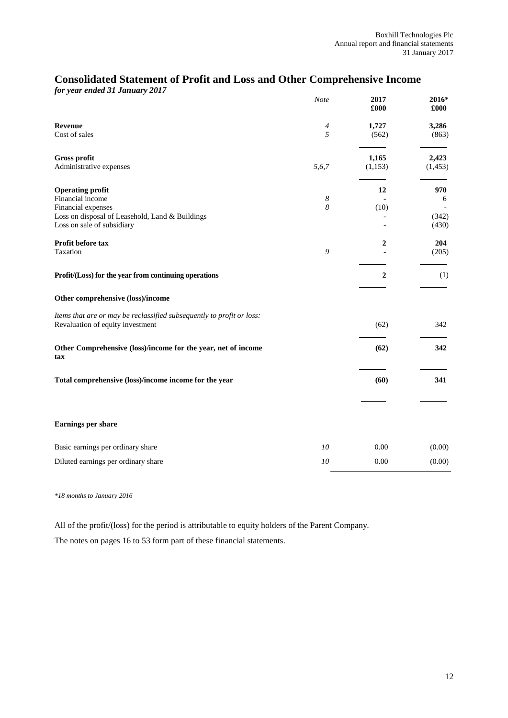# **Consolidated Statement of Profit and Loss and Other Comprehensive Income**

*for year ended 31 January 2017*

|                                                                                                                                                    | <b>Note</b>           | 2017<br>£000      | 2016*<br>£000              |
|----------------------------------------------------------------------------------------------------------------------------------------------------|-----------------------|-------------------|----------------------------|
| <b>Revenue</b><br>Cost of sales                                                                                                                    | $\boldsymbol{4}$<br>5 | 1,727<br>(562)    | 3,286<br>(863)             |
| <b>Gross profit</b><br>Administrative expenses                                                                                                     | 5,6,7                 | 1,165<br>(1, 153) | 2,423<br>(1, 453)          |
| <b>Operating profit</b><br>Financial income<br>Financial expenses<br>Loss on disposal of Leasehold, Land & Buildings<br>Loss on sale of subsidiary | 8<br>8                | 12<br>(10)        | 970<br>6<br>(342)<br>(430) |
| Profit before tax<br>Taxation                                                                                                                      | 9                     | 2                 | 204<br>(205)               |
| Profit/(Loss) for the year from continuing operations                                                                                              |                       | $\boldsymbol{2}$  | (1)                        |
| Other comprehensive (loss)/income                                                                                                                  |                       |                   |                            |
| Items that are or may be reclassified subsequently to profit or loss:<br>Revaluation of equity investment                                          |                       | (62)              | 342                        |
| Other Comprehensive (loss)/income for the year, net of income<br>tax                                                                               |                       | (62)              | 342                        |
| Total comprehensive (loss)/income income for the year                                                                                              |                       | (60)              | 341                        |
| Earnings per share                                                                                                                                 |                       |                   |                            |
| Basic earnings per ordinary share                                                                                                                  | 10                    | 0.00              | (0.00)                     |
| Diluted earnings per ordinary share                                                                                                                | 10                    | 0.00              | (0.00)                     |

*\*18 months to January 2016*

All of the profit/(loss) for the period is attributable to equity holders of the Parent Company.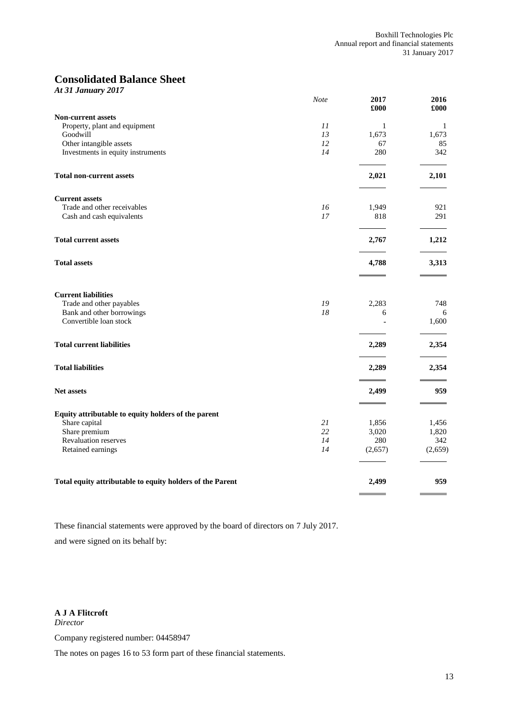# **Consolidated Balance Sheet**<br>At 31 January 2017

|  | At 31 January 2017 |  |
|--|--------------------|--|
|--|--------------------|--|

|                                                           | <b>Note</b> | 2017<br>£000   | 2016<br>£000 |
|-----------------------------------------------------------|-------------|----------------|--------------|
| <b>Non-current assets</b>                                 |             |                |              |
| Property, plant and equipment                             | 11          | $\mathbf{1}$   | 1            |
| Goodwill                                                  | 13          | 1,673          | 1,673        |
| Other intangible assets                                   | 12          | 67             | 85           |
| Investments in equity instruments                         | 14          | 280            | 342          |
| <b>Total non-current assets</b>                           |             | 2,021          | 2,101        |
| <b>Current assets</b>                                     |             |                |              |
| Trade and other receivables                               | 16          | 1,949          | 921          |
| Cash and cash equivalents                                 | 17          | 818            | 291          |
| <b>Total current assets</b>                               |             | 2,767          | 1,212        |
| <b>Total assets</b>                                       |             | 4,788          | 3,313        |
| <b>Current liabilities</b>                                |             |                |              |
| Trade and other payables                                  | 19          | 2,283          | 748          |
| Bank and other borrowings                                 | 18          | 6              | 6            |
| Convertible loan stock                                    |             |                | 1,600        |
| <b>Total current liabilities</b>                          |             | 2,289          | 2,354        |
| <b>Total liabilities</b>                                  |             | 2,289          | 2,354        |
| <b>Net assets</b>                                         |             | 2,499          | 959          |
| Equity attributable to equity holders of the parent       |             |                |              |
| Share capital                                             | 21          | 1,856          | 1,456        |
| Share premium                                             | 22          | 3,020          | 1,820        |
| Revaluation reserves<br>Retained earnings                 | 14<br>14    | 280<br>(2,657) | 342          |
|                                                           |             |                | (2,659)      |
| Total equity attributable to equity holders of the Parent |             | 2,499          | 959          |
|                                                           |             |                |              |

These financial statements were approved by the board of directors on 7 July 2017.

and were signed on its behalf by:

# **A J A Flitcroft**

*Director*

Company registered number: 04458947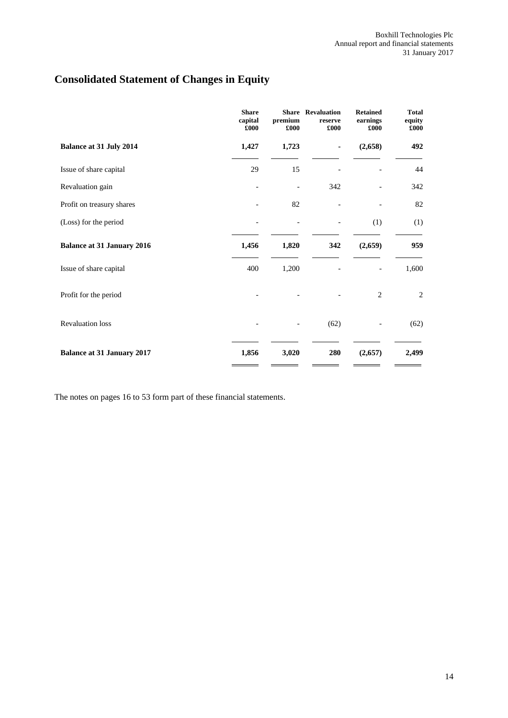# **Consolidated Statement of Changes in Equity**

|                                   | <b>Share</b><br>capital<br>£000 | premium<br>£000 | <b>Share Revaluation</b><br>reserve<br>£000 | <b>Retained</b><br>earnings<br>£000 | <b>Total</b><br>equity<br>£000 |
|-----------------------------------|---------------------------------|-----------------|---------------------------------------------|-------------------------------------|--------------------------------|
| <b>Balance at 31 July 2014</b>    | 1,427                           | 1,723           |                                             | (2,658)                             | 492                            |
| Issue of share capital            | 29                              | 15              |                                             |                                     | 44                             |
| Revaluation gain                  |                                 |                 | 342                                         |                                     | 342                            |
| Profit on treasury shares         |                                 | 82              |                                             |                                     | 82                             |
| (Loss) for the period             |                                 |                 |                                             | (1)                                 | (1)                            |
| <b>Balance at 31 January 2016</b> | 1,456                           | 1,820           | 342                                         | (2,659)                             | 959                            |
| Issue of share capital            | 400                             | 1,200           |                                             |                                     | 1,600                          |
| Profit for the period             |                                 |                 |                                             | $\overline{2}$                      | $\overline{c}$                 |
| <b>Revaluation loss</b>           |                                 |                 | (62)                                        |                                     | (62)                           |
| <b>Balance at 31 January 2017</b> | 1,856                           | 3,020           | 280                                         | (2,657)                             | 2,499                          |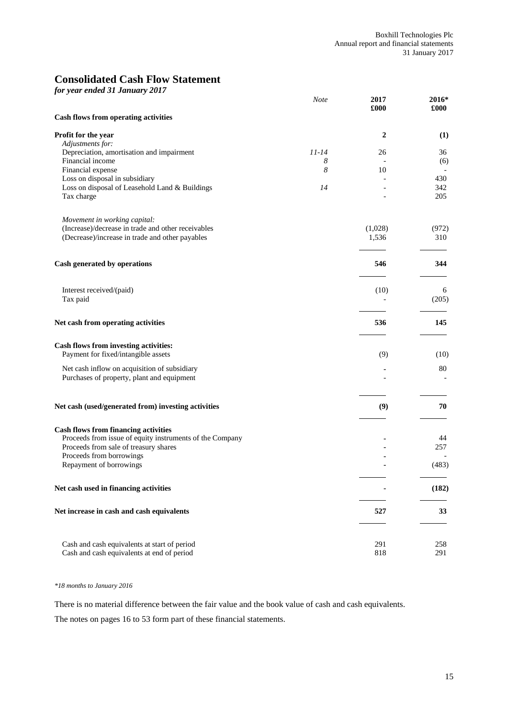# **Consolidated Cash Flow Statement**

*for year ended 31 January 2017*

|                                                                                            | <b>Note</b> | 2017<br>£000     | 2016*<br>£000 |
|--------------------------------------------------------------------------------------------|-------------|------------------|---------------|
| <b>Cash flows from operating activities</b>                                                |             |                  |               |
| Profit for the year                                                                        |             | $\boldsymbol{2}$ | (1)           |
| Adjustments for:                                                                           |             |                  |               |
| Depreciation, amortisation and impairment<br>Financial income                              | $11 - 14$   | 26               | 36            |
| Financial expense                                                                          | 8<br>8      | 10               | (6)           |
| Loss on disposal in subsidiary                                                             |             |                  | 430           |
| Loss on disposal of Leasehold Land & Buildings                                             | 14          |                  | 342           |
| Tax charge                                                                                 |             |                  | 205           |
| Movement in working capital:                                                               |             |                  |               |
| (Increase)/decrease in trade and other receivables                                         |             | (1,028)          | (972)         |
| (Decrease)/increase in trade and other payables                                            |             | 1,536            | 310           |
| Cash generated by operations                                                               |             | 546              | 344           |
|                                                                                            |             |                  |               |
| Interest received/(paid)                                                                   |             | (10)             | 6             |
| Tax paid                                                                                   |             |                  | (205)         |
| Net cash from operating activities                                                         |             | 536              | 145           |
| Cash flows from investing activities:                                                      |             |                  |               |
| Payment for fixed/intangible assets                                                        |             | (9)              | (10)          |
| Net cash inflow on acquisition of subsidiary<br>Purchases of property, plant and equipment |             |                  | 80            |
| Net cash (used/generated from) investing activities                                        |             | (9)              | 70            |
|                                                                                            |             |                  |               |
| <b>Cash flows from financing activities</b>                                                |             |                  |               |
| Proceeds from issue of equity instruments of the Company                                   |             |                  | 44            |
| Proceeds from sale of treasury shares<br>Proceeds from borrowings                          |             |                  | 257           |
| Repayment of borrowings                                                                    |             |                  | (483)         |
|                                                                                            |             |                  |               |
| Net cash used in financing activities                                                      |             |                  | (182)         |
| Net increase in cash and cash equivalents                                                  |             | 527              | 33            |
| Cash and cash equivalents at start of period                                               |             | 291              | 258           |
| Cash and cash equivalents at end of period                                                 |             | 818              | 291           |

*\*18 months to January 2016*

There is no material difference between the fair value and the book value of cash and cash equivalents.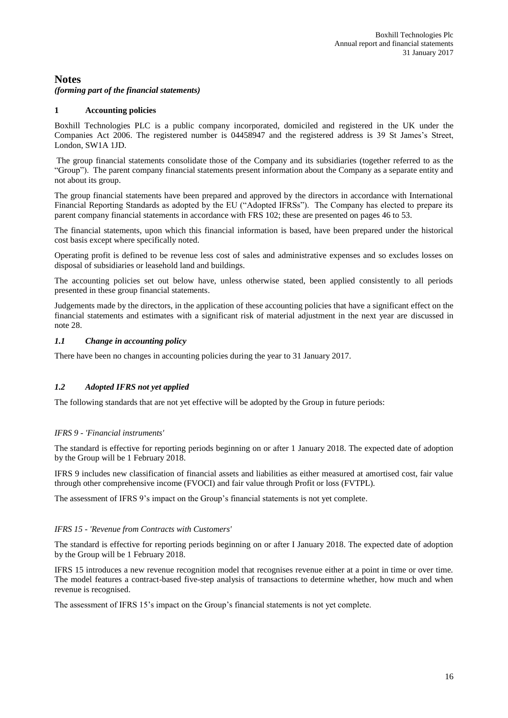#### **Notes** *(forming part of the financial statements)*

#### **1 Accounting policies**

Boxhill Technologies PLC is a public company incorporated, domiciled and registered in the UK under the Companies Act 2006. The registered number is 04458947 and the registered address is 39 St James's Street, London, SW1A 1JD.

The group financial statements consolidate those of the Company and its subsidiaries (together referred to as the "Group"). The parent company financial statements present information about the Company as a separate entity and not about its group.

The group financial statements have been prepared and approved by the directors in accordance with International Financial Reporting Standards as adopted by the EU ("Adopted IFRSs"). The Company has elected to prepare its parent company financial statements in accordance with FRS 102; these are presented on pages 46 to 53.

The financial statements, upon which this financial information is based, have been prepared under the historical cost basis except where specifically noted.

Operating profit is defined to be revenue less cost of sales and administrative expenses and so excludes losses on disposal of subsidiaries or leasehold land and buildings.

The accounting policies set out below have, unless otherwise stated, been applied consistently to all periods presented in these group financial statements.

Judgements made by the directors, in the application of these accounting policies that have a significant effect on the financial statements and estimates with a significant risk of material adjustment in the next year are discussed in note 28.

### *1.1 Change in accounting policy*

There have been no changes in accounting policies during the year to 31 January 2017.

#### *1.2 Adopted IFRS not yet applied*

The following standards that are not yet effective will be adopted by the Group in future periods:

#### *IFRS 9 - 'Financial instruments'*

The standard is effective for reporting periods beginning on or after 1 January 2018. The expected date of adoption by the Group will be 1 February 2018.

IFRS 9 includes new classification of financial assets and liabilities as either measured at amortised cost, fair value through other comprehensive income (FVOCI) and fair value through Profit or loss (FVTPL).

The assessment of IFRS 9's impact on the Group's financial statements is not yet complete.

#### *IFRS 15 - 'Revenue from Contracts with Customers'*

The standard is effective for reporting periods beginning on or after I January 2018. The expected date of adoption by the Group will be 1 February 2018.

IFRS 15 introduces a new revenue recognition model that recognises revenue either at a point in time or over time. The model features a contract-based five-step analysis of transactions to determine whether, how much and when revenue is recognised.

The assessment of IFRS 15's impact on the Group's financial statements is not yet complete.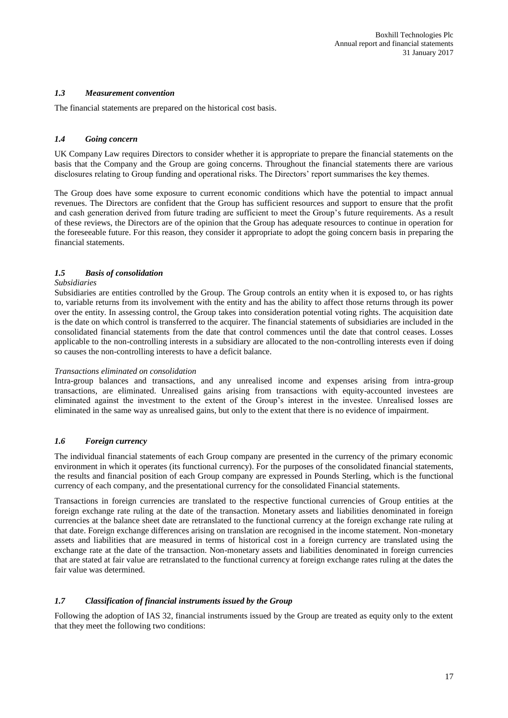#### *1.3 Measurement convention*

The financial statements are prepared on the historical cost basis.

#### *1.4 Going concern*

UK Company Law requires Directors to consider whether it is appropriate to prepare the financial statements on the basis that the Company and the Group are going concerns. Throughout the financial statements there are various disclosures relating to Group funding and operational risks. The Directors' report summarises the key themes.

The Group does have some exposure to current economic conditions which have the potential to impact annual revenues. The Directors are confident that the Group has sufficient resources and support to ensure that the profit and cash generation derived from future trading are sufficient to meet the Group's future requirements. As a result of these reviews, the Directors are of the opinion that the Group has adequate resources to continue in operation for the foreseeable future. For this reason, they consider it appropriate to adopt the going concern basis in preparing the financial statements.

#### *1.5 Basis of consolidation*

#### *Subsidiaries*

Subsidiaries are entities controlled by the Group. The Group controls an entity when it is exposed to, or has rights to, variable returns from its involvement with the entity and has the ability to affect those returns through its power over the entity. In assessing control, the Group takes into consideration potential voting rights. The acquisition date is the date on which control is transferred to the acquirer. The financial statements of subsidiaries are included in the consolidated financial statements from the date that control commences until the date that control ceases. Losses applicable to the non-controlling interests in a subsidiary are allocated to the non-controlling interests even if doing so causes the non-controlling interests to have a deficit balance.

#### *Transactions eliminated on consolidation*

Intra-group balances and transactions, and any unrealised income and expenses arising from intra-group transactions, are eliminated. Unrealised gains arising from transactions with equity-accounted investees are eliminated against the investment to the extent of the Group's interest in the investee. Unrealised losses are eliminated in the same way as unrealised gains, but only to the extent that there is no evidence of impairment.

#### *1.6 Foreign currency*

The individual financial statements of each Group company are presented in the currency of the primary economic environment in which it operates (its functional currency). For the purposes of the consolidated financial statements, the results and financial position of each Group company are expressed in Pounds Sterling, which is the functional currency of each company, and the presentational currency for the consolidated Financial statements.

Transactions in foreign currencies are translated to the respective functional currencies of Group entities at the foreign exchange rate ruling at the date of the transaction. Monetary assets and liabilities denominated in foreign currencies at the balance sheet date are retranslated to the functional currency at the foreign exchange rate ruling at that date. Foreign exchange differences arising on translation are recognised in the income statement. Non-monetary assets and liabilities that are measured in terms of historical cost in a foreign currency are translated using the exchange rate at the date of the transaction. Non-monetary assets and liabilities denominated in foreign currencies that are stated at fair value are retranslated to the functional currency at foreign exchange rates ruling at the dates the fair value was determined.

#### *1.7 Classification of financial instruments issued by the Group*

Following the adoption of IAS 32, financial instruments issued by the Group are treated as equity only to the extent that they meet the following two conditions: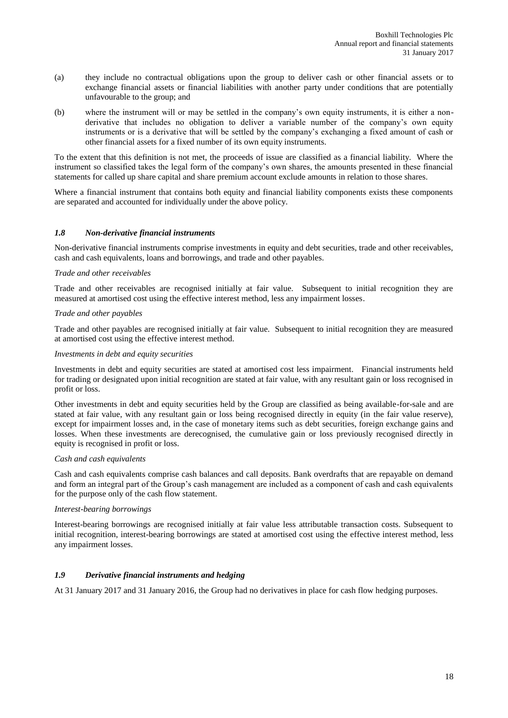- (a) they include no contractual obligations upon the group to deliver cash or other financial assets or to exchange financial assets or financial liabilities with another party under conditions that are potentially unfavourable to the group; and
- (b) where the instrument will or may be settled in the company's own equity instruments, it is either a nonderivative that includes no obligation to deliver a variable number of the company's own equity instruments or is a derivative that will be settled by the company's exchanging a fixed amount of cash or other financial assets for a fixed number of its own equity instruments.

To the extent that this definition is not met, the proceeds of issue are classified as a financial liability. Where the instrument so classified takes the legal form of the company's own shares, the amounts presented in these financial statements for called up share capital and share premium account exclude amounts in relation to those shares.

Where a financial instrument that contains both equity and financial liability components exists these components are separated and accounted for individually under the above policy.

#### *1.8 Non-derivative financial instruments*

Non-derivative financial instruments comprise investments in equity and debt securities, trade and other receivables, cash and cash equivalents, loans and borrowings, and trade and other payables.

#### *Trade and other receivables*

Trade and other receivables are recognised initially at fair value. Subsequent to initial recognition they are measured at amortised cost using the effective interest method, less any impairment losses.

#### *Trade and other payables*

Trade and other payables are recognised initially at fair value. Subsequent to initial recognition they are measured at amortised cost using the effective interest method.

#### *Investments in debt and equity securities*

Investments in debt and equity securities are stated at amortised cost less impairment. Financial instruments held for trading or designated upon initial recognition are stated at fair value, with any resultant gain or loss recognised in profit or loss.

Other investments in debt and equity securities held by the Group are classified as being available-for-sale and are stated at fair value, with any resultant gain or loss being recognised directly in equity (in the fair value reserve), except for impairment losses and, in the case of monetary items such as debt securities, foreign exchange gains and losses. When these investments are derecognised, the cumulative gain or loss previously recognised directly in equity is recognised in profit or loss.

#### *Cash and cash equivalents*

Cash and cash equivalents comprise cash balances and call deposits. Bank overdrafts that are repayable on demand and form an integral part of the Group's cash management are included as a component of cash and cash equivalents for the purpose only of the cash flow statement.

#### *Interest-bearing borrowings*

Interest-bearing borrowings are recognised initially at fair value less attributable transaction costs. Subsequent to initial recognition, interest-bearing borrowings are stated at amortised cost using the effective interest method, less any impairment losses.

#### *1.9 Derivative financial instruments and hedging*

At 31 January 2017 and 31 January 2016, the Group had no derivatives in place for cash flow hedging purposes.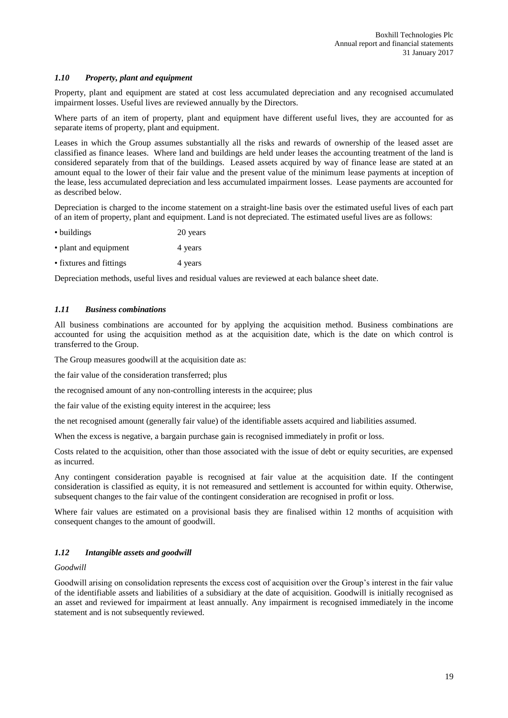#### *1.10 Property, plant and equipment*

Property, plant and equipment are stated at cost less accumulated depreciation and any recognised accumulated impairment losses. Useful lives are reviewed annually by the Directors.

Where parts of an item of property, plant and equipment have different useful lives, they are accounted for as separate items of property, plant and equipment.

Leases in which the Group assumes substantially all the risks and rewards of ownership of the leased asset are classified as finance leases. Where land and buildings are held under leases the accounting treatment of the land is considered separately from that of the buildings. Leased assets acquired by way of finance lease are stated at an amount equal to the lower of their fair value and the present value of the minimum lease payments at inception of the lease, less accumulated depreciation and less accumulated impairment losses. Lease payments are accounted for as described below.

Depreciation is charged to the income statement on a straight-line basis over the estimated useful lives of each part of an item of property, plant and equipment. Land is not depreciated. The estimated useful lives are as follows:

| • buildings             | 20 years |
|-------------------------|----------|
| • plant and equipment   | 4 years  |
| • fixtures and fittings | 4 years  |

Depreciation methods, useful lives and residual values are reviewed at each balance sheet date.

#### *1.11 Business combinations*

All business combinations are accounted for by applying the acquisition method. Business combinations are accounted for using the acquisition method as at the acquisition date, which is the date on which control is transferred to the Group.

The Group measures goodwill at the acquisition date as:

the fair value of the consideration transferred; plus

the recognised amount of any non-controlling interests in the acquiree; plus

the fair value of the existing equity interest in the acquiree; less

the net recognised amount (generally fair value) of the identifiable assets acquired and liabilities assumed.

When the excess is negative, a bargain purchase gain is recognised immediately in profit or loss.

Costs related to the acquisition, other than those associated with the issue of debt or equity securities, are expensed as incurred.

Any contingent consideration payable is recognised at fair value at the acquisition date. If the contingent consideration is classified as equity, it is not remeasured and settlement is accounted for within equity. Otherwise, subsequent changes to the fair value of the contingent consideration are recognised in profit or loss.

Where fair values are estimated on a provisional basis they are finalised within 12 months of acquisition with consequent changes to the amount of goodwill.

#### *1.12 Intangible assets and goodwill*

#### *Goodwill*

Goodwill arising on consolidation represents the excess cost of acquisition over the Group's interest in the fair value of the identifiable assets and liabilities of a subsidiary at the date of acquisition. Goodwill is initially recognised as an asset and reviewed for impairment at least annually. Any impairment is recognised immediately in the income statement and is not subsequently reviewed.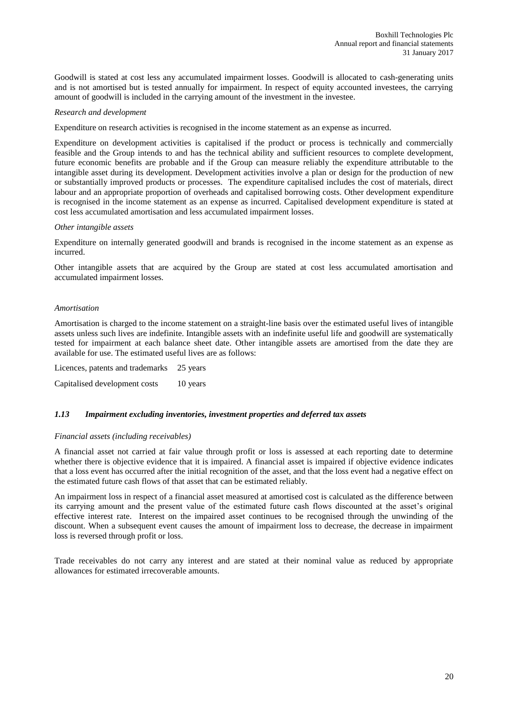Goodwill is stated at cost less any accumulated impairment losses. Goodwill is allocated to cash-generating units and is not amortised but is tested annually for impairment. In respect of equity accounted investees, the carrying amount of goodwill is included in the carrying amount of the investment in the investee.

#### *Research and development*

Expenditure on research activities is recognised in the income statement as an expense as incurred.

Expenditure on development activities is capitalised if the product or process is technically and commercially feasible and the Group intends to and has the technical ability and sufficient resources to complete development, future economic benefits are probable and if the Group can measure reliably the expenditure attributable to the intangible asset during its development. Development activities involve a plan or design for the production of new or substantially improved products or processes. The expenditure capitalised includes the cost of materials, direct labour and an appropriate proportion of overheads and capitalised borrowing costs. Other development expenditure is recognised in the income statement as an expense as incurred. Capitalised development expenditure is stated at cost less accumulated amortisation and less accumulated impairment losses.

#### *Other intangible assets*

Expenditure on internally generated goodwill and brands is recognised in the income statement as an expense as incurred.

Other intangible assets that are acquired by the Group are stated at cost less accumulated amortisation and accumulated impairment losses.

#### *Amortisation*

Amortisation is charged to the income statement on a straight-line basis over the estimated useful lives of intangible assets unless such lives are indefinite. Intangible assets with an indefinite useful life and goodwill are systematically tested for impairment at each balance sheet date. Other intangible assets are amortised from the date they are available for use. The estimated useful lives are as follows:

Licences, patents and trademarks 25 years Capitalised development costs 10 years

#### *1.13 Impairment excluding inventories, investment properties and deferred tax assets*

#### *Financial assets (including receivables)*

A financial asset not carried at fair value through profit or loss is assessed at each reporting date to determine whether there is objective evidence that it is impaired. A financial asset is impaired if objective evidence indicates that a loss event has occurred after the initial recognition of the asset, and that the loss event had a negative effect on the estimated future cash flows of that asset that can be estimated reliably.

An impairment loss in respect of a financial asset measured at amortised cost is calculated as the difference between its carrying amount and the present value of the estimated future cash flows discounted at the asset's original effective interest rate. Interest on the impaired asset continues to be recognised through the unwinding of the discount. When a subsequent event causes the amount of impairment loss to decrease, the decrease in impairment loss is reversed through profit or loss.

Trade receivables do not carry any interest and are stated at their nominal value as reduced by appropriate allowances for estimated irrecoverable amounts.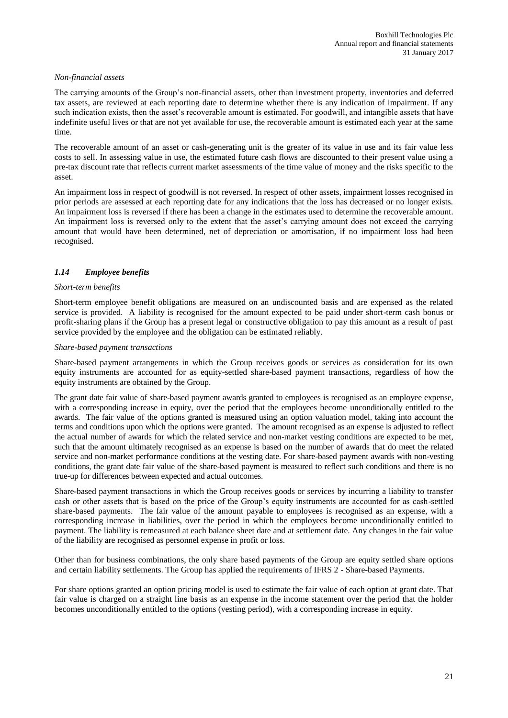#### *Non-financial assets*

The carrying amounts of the Group's non-financial assets, other than investment property, inventories and deferred tax assets, are reviewed at each reporting date to determine whether there is any indication of impairment. If any such indication exists, then the asset's recoverable amount is estimated. For goodwill, and intangible assets that have indefinite useful lives or that are not yet available for use, the recoverable amount is estimated each year at the same time.

The recoverable amount of an asset or cash-generating unit is the greater of its value in use and its fair value less costs to sell. In assessing value in use, the estimated future cash flows are discounted to their present value using a pre-tax discount rate that reflects current market assessments of the time value of money and the risks specific to the asset.

An impairment loss in respect of goodwill is not reversed. In respect of other assets, impairment losses recognised in prior periods are assessed at each reporting date for any indications that the loss has decreased or no longer exists. An impairment loss is reversed if there has been a change in the estimates used to determine the recoverable amount. An impairment loss is reversed only to the extent that the asset's carrying amount does not exceed the carrying amount that would have been determined, net of depreciation or amortisation, if no impairment loss had been recognised.

#### *1.14 Employee benefits*

#### *Short-term benefits*

Short-term employee benefit obligations are measured on an undiscounted basis and are expensed as the related service is provided. A liability is recognised for the amount expected to be paid under short-term cash bonus or profit-sharing plans if the Group has a present legal or constructive obligation to pay this amount as a result of past service provided by the employee and the obligation can be estimated reliably.

#### *Share-based payment transactions*

Share-based payment arrangements in which the Group receives goods or services as consideration for its own equity instruments are accounted for as equity-settled share-based payment transactions, regardless of how the equity instruments are obtained by the Group.

The grant date fair value of share-based payment awards granted to employees is recognised as an employee expense, with a corresponding increase in equity, over the period that the employees become unconditionally entitled to the awards. The fair value of the options granted is measured using an option valuation model, taking into account the terms and conditions upon which the options were granted. The amount recognised as an expense is adjusted to reflect the actual number of awards for which the related service and non-market vesting conditions are expected to be met, such that the amount ultimately recognised as an expense is based on the number of awards that do meet the related service and non-market performance conditions at the vesting date. For share-based payment awards with non-vesting conditions, the grant date fair value of the share-based payment is measured to reflect such conditions and there is no true-up for differences between expected and actual outcomes.

Share-based payment transactions in which the Group receives goods or services by incurring a liability to transfer cash or other assets that is based on the price of the Group's equity instruments are accounted for as cash-settled share-based payments. The fair value of the amount payable to employees is recognised as an expense, with a corresponding increase in liabilities, over the period in which the employees become unconditionally entitled to payment. The liability is remeasured at each balance sheet date and at settlement date. Any changes in the fair value of the liability are recognised as personnel expense in profit or loss.

Other than for business combinations, the only share based payments of the Group are equity settled share options and certain liability settlements. The Group has applied the requirements of IFRS 2 - Share-based Payments.

For share options granted an option pricing model is used to estimate the fair value of each option at grant date. That fair value is charged on a straight line basis as an expense in the income statement over the period that the holder becomes unconditionally entitled to the options (vesting period), with a corresponding increase in equity.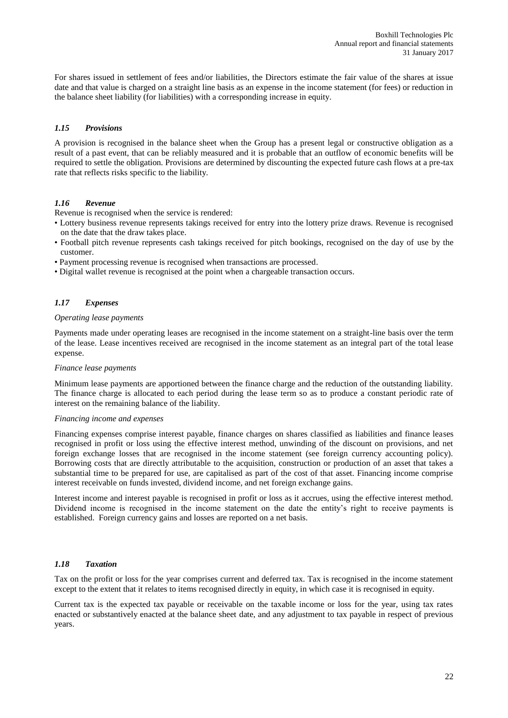For shares issued in settlement of fees and/or liabilities, the Directors estimate the fair value of the shares at issue date and that value is charged on a straight line basis as an expense in the income statement (for fees) or reduction in the balance sheet liability (for liabilities) with a corresponding increase in equity.

#### *1.15 Provisions*

A provision is recognised in the balance sheet when the Group has a present legal or constructive obligation as a result of a past event, that can be reliably measured and it is probable that an outflow of economic benefits will be required to settle the obligation. Provisions are determined by discounting the expected future cash flows at a pre-tax rate that reflects risks specific to the liability.

#### *1.16 Revenue*

Revenue is recognised when the service is rendered:

- Lottery business revenue represents takings received for entry into the lottery prize draws. Revenue is recognised on the date that the draw takes place.
- Football pitch revenue represents cash takings received for pitch bookings, recognised on the day of use by the customer.
- Payment processing revenue is recognised when transactions are processed.
- Digital wallet revenue is recognised at the point when a chargeable transaction occurs.

#### *1.17 Expenses*

#### *Operating lease payments*

Payments made under operating leases are recognised in the income statement on a straight-line basis over the term of the lease. Lease incentives received are recognised in the income statement as an integral part of the total lease expense.

#### *Finance lease payments*

Minimum lease payments are apportioned between the finance charge and the reduction of the outstanding liability. The finance charge is allocated to each period during the lease term so as to produce a constant periodic rate of interest on the remaining balance of the liability.

#### *Financing income and expenses*

Financing expenses comprise interest payable, finance charges on shares classified as liabilities and finance leases recognised in profit or loss using the effective interest method, unwinding of the discount on provisions, and net foreign exchange losses that are recognised in the income statement (see foreign currency accounting policy). Borrowing costs that are directly attributable to the acquisition, construction or production of an asset that takes a substantial time to be prepared for use, are capitalised as part of the cost of that asset. Financing income comprise interest receivable on funds invested, dividend income, and net foreign exchange gains.

Interest income and interest payable is recognised in profit or loss as it accrues, using the effective interest method. Dividend income is recognised in the income statement on the date the entity's right to receive payments is established. Foreign currency gains and losses are reported on a net basis.

#### *1.18 Taxation*

Tax on the profit or loss for the year comprises current and deferred tax. Tax is recognised in the income statement except to the extent that it relates to items recognised directly in equity, in which case it is recognised in equity.

Current tax is the expected tax payable or receivable on the taxable income or loss for the year, using tax rates enacted or substantively enacted at the balance sheet date, and any adjustment to tax payable in respect of previous years.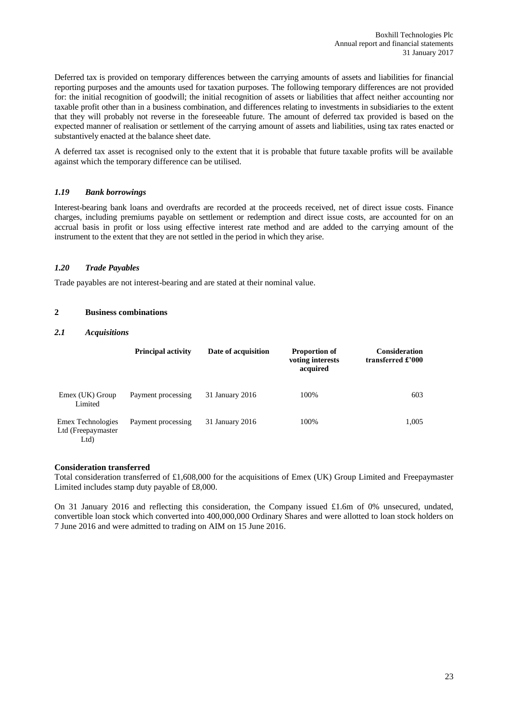Deferred tax is provided on temporary differences between the carrying amounts of assets and liabilities for financial reporting purposes and the amounts used for taxation purposes. The following temporary differences are not provided for: the initial recognition of goodwill; the initial recognition of assets or liabilities that affect neither accounting nor taxable profit other than in a business combination, and differences relating to investments in subsidiaries to the extent that they will probably not reverse in the foreseeable future. The amount of deferred tax provided is based on the expected manner of realisation or settlement of the carrying amount of assets and liabilities, using tax rates enacted or substantively enacted at the balance sheet date.

A deferred tax asset is recognised only to the extent that it is probable that future taxable profits will be available against which the temporary difference can be utilised.

#### *1.19 Bank borrowings*

Interest-bearing bank loans and overdrafts are recorded at the proceeds received, net of direct issue costs. Finance charges, including premiums payable on settlement or redemption and direct issue costs, are accounted for on an accrual basis in profit or loss using effective interest rate method and are added to the carrying amount of the instrument to the extent that they are not settled in the period in which they arise.

#### *1.20 Trade Payables*

Trade payables are not interest-bearing and are stated at their nominal value.

#### **2 Business combinations**

#### *2.1 Acquisitions*

|                                                | <b>Principal activity</b> | Date of acquisition | <b>Proportion of</b><br>voting interests<br>acquired | <b>Consideration</b><br>transferred £'000 |
|------------------------------------------------|---------------------------|---------------------|------------------------------------------------------|-------------------------------------------|
| Emex (UK) Group<br>Limited                     | Payment processing        | 31 January 2016     | 100%                                                 | 603                                       |
| Emex Technologies<br>Ltd (Freepaymaster<br>Ltd | Payment processing        | 31 January 2016     | 100%                                                 | 1,005                                     |

#### **Consideration transferred**

Total consideration transferred of £1,608,000 for the acquisitions of Emex (UK) Group Limited and Freepaymaster Limited includes stamp duty payable of £8,000.

On 31 January 2016 and reflecting this consideration, the Company issued £1.6m of 0% unsecured, undated, convertible loan stock which converted into 400,000,000 Ordinary Shares and were allotted to loan stock holders on 7 June 2016 and were admitted to trading on AIM on 15 June 2016.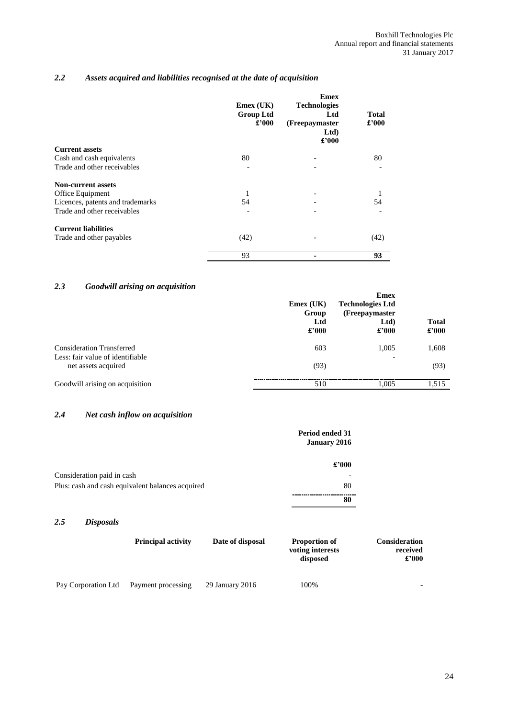## *2.2 Assets acquired and liabilities recognised at the date of acquisition*

|                                  | $E$ mex (UK)<br><b>Group Ltd</b><br>£'000 | <b>Emex</b><br><b>Technologies</b><br>Ltd<br>(Freepaymaster)<br>Ltd)<br>£'000 | <b>Total</b><br>£'000 |
|----------------------------------|-------------------------------------------|-------------------------------------------------------------------------------|-----------------------|
| <b>Current assets</b>            |                                           |                                                                               |                       |
| Cash and cash equivalents        | 80                                        |                                                                               | 80                    |
| Trade and other receivables      |                                           |                                                                               |                       |
| <b>Non-current assets</b>        |                                           |                                                                               |                       |
| Office Equipment                 | 1                                         |                                                                               |                       |
| Licences, patents and trademarks | 54                                        |                                                                               | 54                    |
| Trade and other receivables      |                                           |                                                                               |                       |
| <b>Current liabilities</b>       |                                           |                                                                               |                       |
| Trade and other payables         | (42)                                      |                                                                               | (42)                  |
|                                  | 93                                        |                                                                               | 93                    |

## *2.3 Goodwill arising on acquisition*

|                                  | $E$ mex (UK)<br>Group<br>Ltd<br>£'000 | <b>Emex</b><br><b>Technologies Ltd</b><br>(Freepaymaster<br>Ltd<br>$\pounds$ '000 | <b>Total</b><br>£'000 |
|----------------------------------|---------------------------------------|-----------------------------------------------------------------------------------|-----------------------|
| <b>Consideration Transferred</b> | 603                                   | 1,005                                                                             | 1,608                 |
| Less: fair value of identifiable |                                       | $\overline{\phantom{0}}$                                                          |                       |
| net assets acquired              | (93)                                  |                                                                                   | (93)                  |
| Goodwill arising on acquisition  | 510                                   | 1.005                                                                             | 1,515                 |
|                                  |                                       |                                                                                   |                       |

#### *2.4 Net cash inflow on acquisition*

|                                                  | <b>Period ended 31</b><br>January 2016 |
|--------------------------------------------------|----------------------------------------|
|                                                  | £'000                                  |
| Consideration paid in cash                       | $\overline{\phantom{a}}$               |
| Plus: cash and cash equivalent balances acquired | 80                                     |
|                                                  | 80                                     |

#### *2.5 Disposals*

|                     | <b>Principal activity</b> | Date of disposal | <b>Proportion of</b><br>voting interests<br>disposed | <b>Consideration</b><br>received<br>£'000 |
|---------------------|---------------------------|------------------|------------------------------------------------------|-------------------------------------------|
| Pay Corporation Ltd | Payment processing        | 29 January 2016  | 100%                                                 |                                           |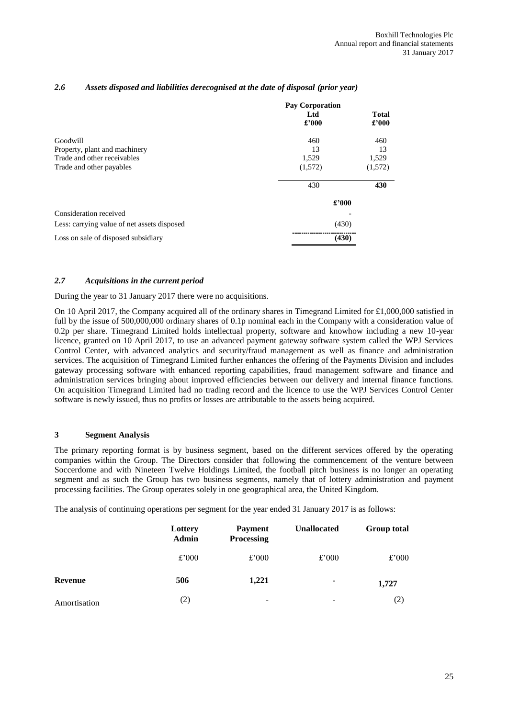| 2.6 | Assets disposed and liabilities derecognised at the date of disposal (prior year) |  |
|-----|-----------------------------------------------------------------------------------|--|
|     |                                                                                   |  |

|                                             | <b>Pay Corporation</b> |              |  |
|---------------------------------------------|------------------------|--------------|--|
|                                             | Ltd                    | <b>Total</b> |  |
|                                             | £'000                  | £'000        |  |
| Goodwill                                    | 460                    | 460          |  |
| Property, plant and machinery               | 13                     | 13           |  |
| Trade and other receivables                 | 1,529                  | 1,529        |  |
| Trade and other payables                    | (1,572)                | (1,572)      |  |
|                                             | 430                    | 430          |  |
|                                             | £'000                  |              |  |
| Consideration received                      |                        |              |  |
| Less: carrying value of net assets disposed | (430)                  |              |  |
| Loss on sale of disposed subsidiary         | (430)                  |              |  |

#### *2.7 Acquisitions in the current period*

During the year to 31 January 2017 there were no acquisitions.

On 10 April 2017, the Company acquired all of the ordinary shares in Timegrand Limited for £1,000,000 satisfied in full by the issue of 500,000,000 ordinary shares of 0.1p nominal each in the Company with a consideration value of 0.2p per share. Timegrand Limited holds intellectual property, software and knowhow including a new 10-year licence, granted on 10 April 2017, to use an advanced payment gateway software system called the WPJ Services Control Center, with advanced analytics and security/fraud management as well as finance and administration services. The acquisition of Timegrand Limited further enhances the offering of the Payments Division and includes gateway processing software with enhanced reporting capabilities, fraud management software and finance and administration services bringing about improved efficiencies between our delivery and internal finance functions. On acquisition Timegrand Limited had no trading record and the licence to use the WPJ Services Control Center software is newly issued, thus no profits or losses are attributable to the assets being acquired.

#### **3 Segment Analysis**

The primary reporting format is by business segment, based on the different services offered by the operating companies within the Group. The Directors consider that following the commencement of the venture between Soccerdome and with Nineteen Twelve Holdings Limited, the football pitch business is no longer an operating segment and as such the Group has two business segments, namely that of lottery administration and payment processing facilities. The Group operates solely in one geographical area, the United Kingdom.

The analysis of continuing operations per segment for the year ended 31 January 2017 is as follows:

|                | Lottery<br><b>Admin</b> | <b>Payment</b><br>Processing | <b>Unallocated</b> | <b>Group total</b> |
|----------------|-------------------------|------------------------------|--------------------|--------------------|
|                | £'000                   | £'000                        | £'000              | £'000              |
| <b>Revenue</b> | 506                     | 1,221                        | ٠                  | 1,727              |
| Amortisation   | (2)                     | $\qquad \qquad$              | $\qquad \qquad$    | (2)                |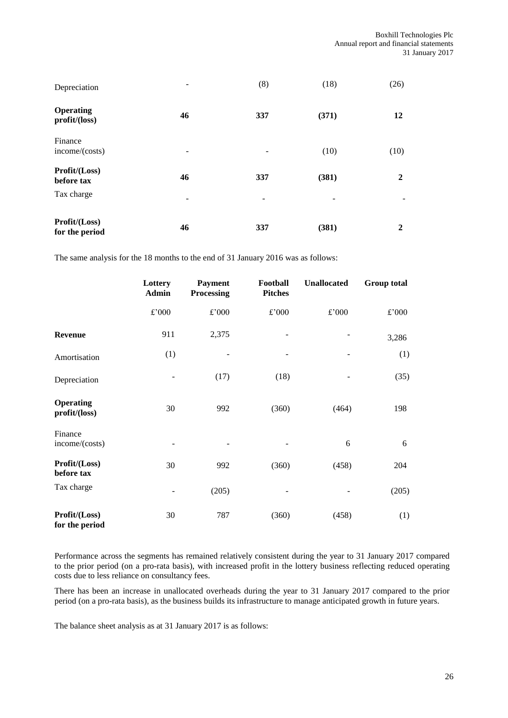| Profit/(Loss)<br>for the period   | 46 | 337             | (381) | $\overline{2}$    |
|-----------------------------------|----|-----------------|-------|-------------------|
| Tax charge                        | -  | $\qquad \qquad$ |       | $\qquad \qquad -$ |
| Profit/(Loss)<br>before tax       | 46 | 337             | (381) | $\overline{2}$    |
| Finance<br>income/(costs)         | -  | -               | (10)  | (10)              |
| <b>Operating</b><br>profit/(loss) | 46 | 337             | (371) | 12                |
| Depreciation                      | -  | (8)             | (18)  | (26)              |

The same analysis for the 18 months to the end of 31 January 2016 was as follows:

|                                  | Lottery<br><b>Admin</b> | <b>Payment</b><br><b>Processing</b> | Football<br><b>Pitches</b> | <b>Unallocated</b> | <b>Group total</b> |
|----------------------------------|-------------------------|-------------------------------------|----------------------------|--------------------|--------------------|
|                                  | $\pounds$ '000          | $\pounds$ '000                      | $\pounds$ '000             | $\pounds$ '000     | £'000              |
| <b>Revenue</b>                   | 911                     | 2,375                               |                            |                    | 3,286              |
| Amortisation                     | (1)                     |                                     |                            |                    | (1)                |
| Depreciation                     |                         | (17)                                | (18)                       |                    | (35)               |
| <b>Operating</b><br>profit/loss) | 30                      | 992                                 | (360)                      | (464)              | 198                |
| Finance<br>income/(costs)        |                         |                                     |                            | 6                  | 6                  |
| Profit/(Loss)<br>before tax      | 30                      | 992                                 | (360)                      | (458)              | 204                |
| Tax charge                       |                         | (205)                               |                            |                    | (205)              |
| Profit/(Loss)<br>for the period  | 30                      | 787                                 | (360)                      | (458)              | (1)                |

Performance across the segments has remained relatively consistent during the year to 31 January 2017 compared to the prior period (on a pro-rata basis), with increased profit in the lottery business reflecting reduced operating costs due to less reliance on consultancy fees.

There has been an increase in unallocated overheads during the year to 31 January 2017 compared to the prior period (on a pro-rata basis), as the business builds its infrastructure to manage anticipated growth in future years.

The balance sheet analysis as at 31 January 2017 is as follows: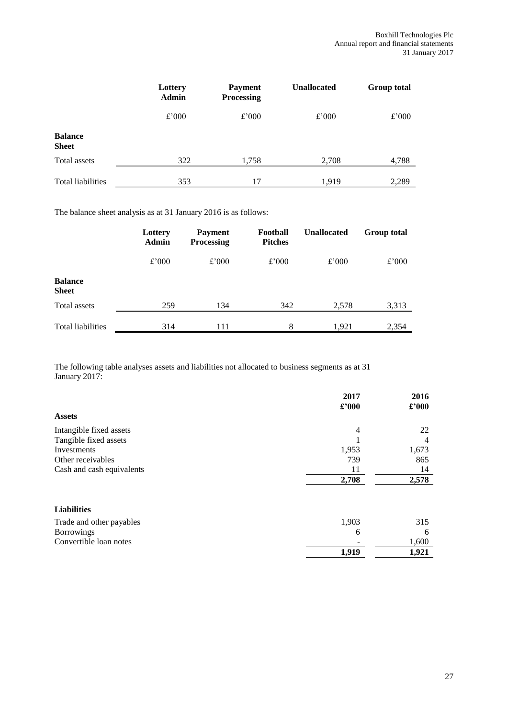|                                | Lottery<br><b>Admin</b> | <b>Payment</b><br>Processing | <b>Unallocated</b> | <b>Group total</b> |
|--------------------------------|-------------------------|------------------------------|--------------------|--------------------|
|                                | £'000                   | £'000                        | £'000              | £'000              |
| <b>Balance</b><br><b>Sheet</b> |                         |                              |                    |                    |
| Total assets                   | 322                     | 1,758                        | 2,708              | 4,788              |
| <b>Total liabilities</b>       | 353                     | 17                           | 1,919              | 2,289              |

The balance sheet analysis as at 31 January 2016 is as follows:

|                                | Lottery<br>Admin | <b>Payment</b><br><b>Processing</b> | Football<br><b>Pitches</b> | <b>Unallocated</b> | <b>Group total</b> |
|--------------------------------|------------------|-------------------------------------|----------------------------|--------------------|--------------------|
|                                | £'000            | £'000                               | £'000                      | £'000              | £'000              |
| <b>Balance</b><br><b>Sheet</b> |                  |                                     |                            |                    |                    |
| Total assets                   | 259              | 134                                 | 342                        | 2,578              | 3,313              |
| <b>Total liabilities</b>       | 314              | 111                                 | 8                          | 1,921              | 2,354              |

The following table analyses assets and liabilities not allocated to business segments as at 31 January 2017:

|                           | 2017<br>£'000 | 2016<br>£'000 |
|---------------------------|---------------|---------------|
| <b>Assets</b>             |               |               |
| Intangible fixed assets   | 4             | 22            |
| Tangible fixed assets     |               | 4             |
| Investments               | 1,953         | 1,673         |
| Other receivables         | 739           | 865           |
| Cash and cash equivalents | 11            | 14            |
|                           | 2,708         | 2,578         |
| <b>Liabilities</b>        |               |               |
| Trade and other payables  | 1,903         | 315           |
| <b>Borrowings</b>         | 6             | 6             |
| Convertible loan notes    |               | 1,600         |
|                           | 1,919         | 1,921         |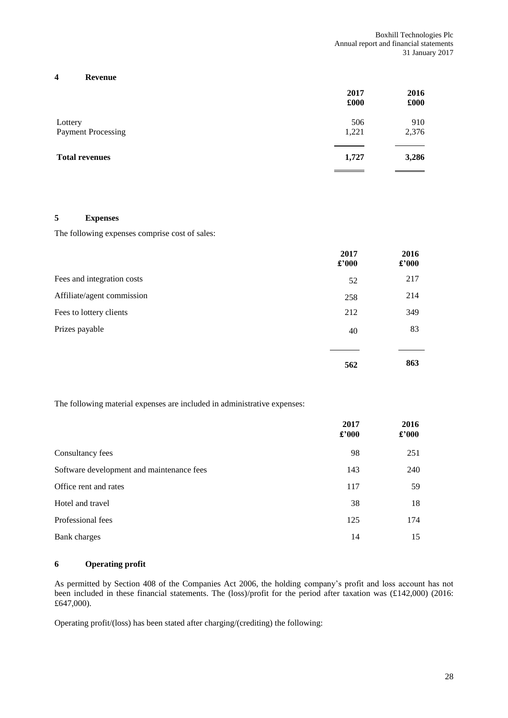#### **4 Revenue**

|                           | 2017<br>£000 | 2016<br>£000 |
|---------------------------|--------------|--------------|
| Lottery                   | 506          | 910          |
| <b>Payment Processing</b> | 1,221        | 2,376        |
| <b>Total revenues</b>     | 1,727        | 3,286        |
|                           |              |              |

#### **5 Expenses**

#### The following expenses comprise cost of sales:

|                            | 2017<br>£'000 | 2016<br>$\pounds$ '000 |
|----------------------------|---------------|------------------------|
| Fees and integration costs | 52            | 217                    |
| Affiliate/agent commission | 258           | 214                    |
| Fees to lottery clients    | 212           | 349                    |
| Prizes payable             | 40            | 83                     |
|                            | 562           | 863                    |

The following material expenses are included in administrative expenses:

|                                           | 2017<br>$\pounds$ '000 | 2016<br>$\pounds$ '000 |
|-------------------------------------------|------------------------|------------------------|
| Consultancy fees                          | 98                     | 251                    |
| Software development and maintenance fees | 143                    | 240                    |
| Office rent and rates                     | 117                    | 59                     |
| Hotel and travel                          | 38                     | 18                     |
| Professional fees                         | 125                    | 174                    |
| Bank charges                              | 14                     | 15                     |

#### **6 Operating profit**

As permitted by Section 408 of the Companies Act 2006, the holding company's profit and loss account has not been included in these financial statements. The (loss)/profit for the period after taxation was (£142,000) (2016: £647,000).

Operating profit/(loss) has been stated after charging/(crediting) the following: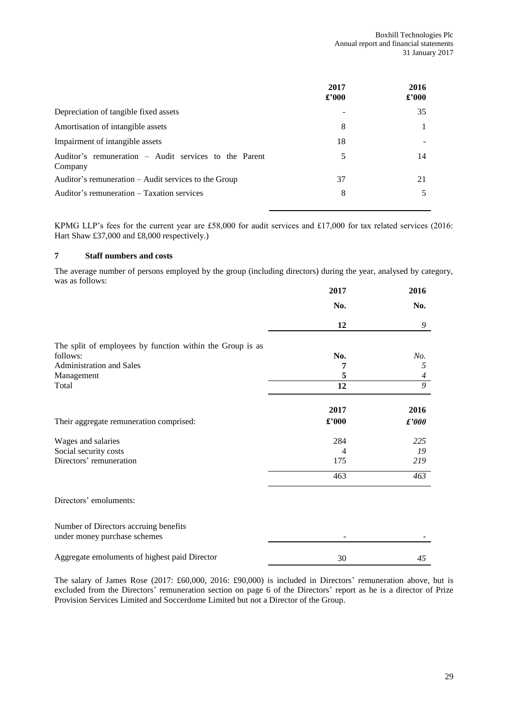| 2017<br>$\pounds$ '000 | 2016<br>$\pounds$ '000 |
|------------------------|------------------------|
|                        | 35                     |
| 8                      |                        |
| 18                     |                        |
| 5                      | 14                     |
| 37                     | 21                     |
| 8                      |                        |
|                        |                        |

KPMG LLP's fees for the current year are £58,000 for audit services and £17,000 for tax related services (2016: Hart Shaw £37,000 and £8,000 respectively.)

#### **7 Staff numbers and costs**

The average number of persons employed by the group (including directors) during the year, analysed by category, was as follows:

|                                                                       | 2017  | 2016           |
|-----------------------------------------------------------------------|-------|----------------|
|                                                                       | No.   | No.            |
|                                                                       | 12    | 9              |
| The split of employees by function within the Group is as             |       |                |
| follows:                                                              | No.   | No.            |
| Administration and Sales                                              | 7     | 5              |
| Management                                                            | 5     | $\overline{4}$ |
| Total                                                                 | 12    | $\overline{9}$ |
|                                                                       | 2017  | 2016           |
| Their aggregate remuneration comprised:                               | £'000 | f'000          |
| Wages and salaries                                                    | 284   | 225            |
| Social security costs                                                 | 4     | 19             |
| Directors' remuneration                                               | 175   | 219            |
|                                                                       | 463   | 463            |
| Directors' emoluments:                                                |       |                |
| Number of Directors accruing benefits<br>under money purchase schemes |       |                |
| Aggregate emoluments of highest paid Director                         | 30    | 45             |

The salary of James Rose (2017: £60,000, 2016: £90,000) is included in Directors' remuneration above, but is excluded from the Directors' remuneration section on page 6 of the Directors' report as he is a director of Prize Provision Services Limited and Soccerdome Limited but not a Director of the Group.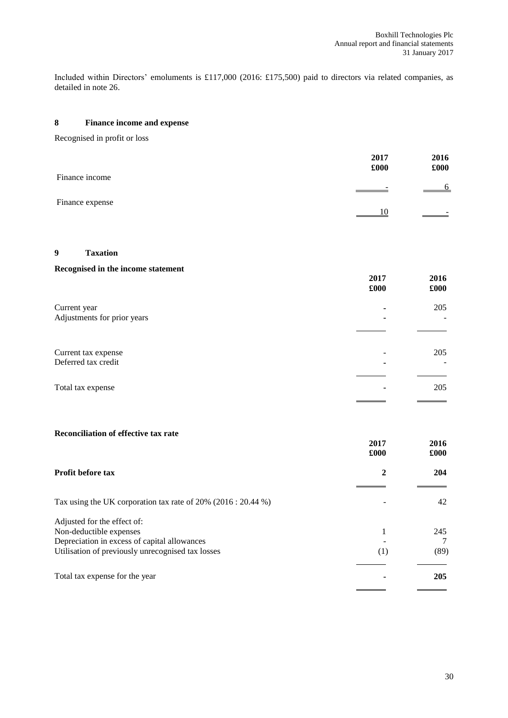Included within Directors' emoluments is £117,000 (2016: £175,500) paid to directors via related companies, as detailed in note 26.

#### **8 Finance income and expense**

Recognised in profit or loss

|                 | 2017<br>£000 | 2016<br>£000 |
|-----------------|--------------|--------------|
| Finance income  | -            | 6            |
| Finance expense |              | -            |

#### **9 Taxation**

#### **Recognised in the income statement**

| recognised in the income statement          | 2017<br>£000 | 2016<br>£000 |
|---------------------------------------------|--------------|--------------|
| Current year<br>Adjustments for prior years | ٠<br>٠       | 205          |
| Current tax expense<br>Deferred tax credit  | ٠            | 205          |
| Total tax expense                           | ۰            | 205          |

#### **Reconciliation of effective tax rate**

|                                                                  | 2017<br>£000 | 2016<br>£000 |
|------------------------------------------------------------------|--------------|--------------|
| <b>Profit before tax</b>                                         | 2            | 204          |
| Tax using the UK corporation tax rate of $20\%$ (2016 : 20.44 %) |              | 42           |
| Adjusted for the effect of:                                      |              |              |
| Non-deductible expenses                                          | 1            | 245          |
| Depreciation in excess of capital allowances                     |              |              |
| Utilisation of previously unrecognised tax losses                | (1)          | (89)         |
| Total tax expense for the year                                   |              | 205          |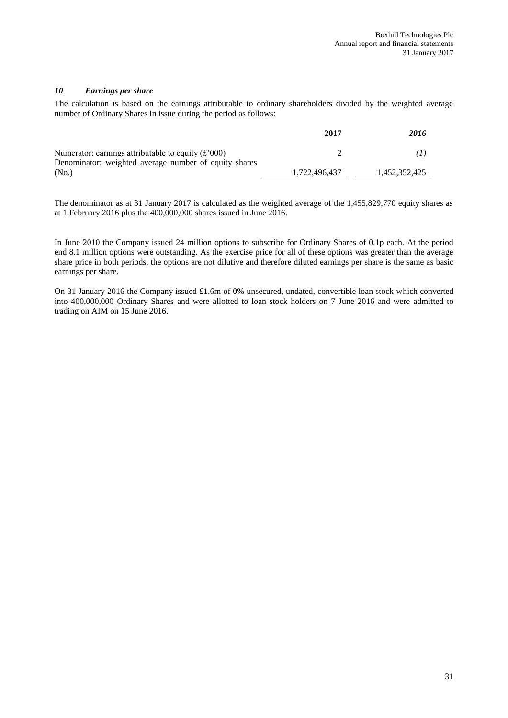#### *10 Earnings per share*

The calculation is based on the earnings attributable to ordinary shareholders divided by the weighted average number of Ordinary Shares in issue during the period as follows:

|                                                                            | 2017          | 2016          |
|----------------------------------------------------------------------------|---------------|---------------|
| Numerator: earnings attributable to equity $(f'000)$                       |               |               |
| Denominator: weighted average number of equity shares<br>(N <sub>0</sub> ) | 1,722,496,437 | 1,452,352,425 |

The denominator as at 31 January 2017 is calculated as the weighted average of the 1,455,829,770 equity shares as at 1 February 2016 plus the 400,000,000 shares issued in June 2016.

In June 2010 the Company issued 24 million options to subscribe for Ordinary Shares of 0.1p each. At the period end 8.1 million options were outstanding. As the exercise price for all of these options was greater than the average share price in both periods, the options are not dilutive and therefore diluted earnings per share is the same as basic earnings per share.

On 31 January 2016 the Company issued £1.6m of 0% unsecured, undated, convertible loan stock which converted into 400,000,000 Ordinary Shares and were allotted to loan stock holders on 7 June 2016 and were admitted to trading on AIM on 15 June 2016.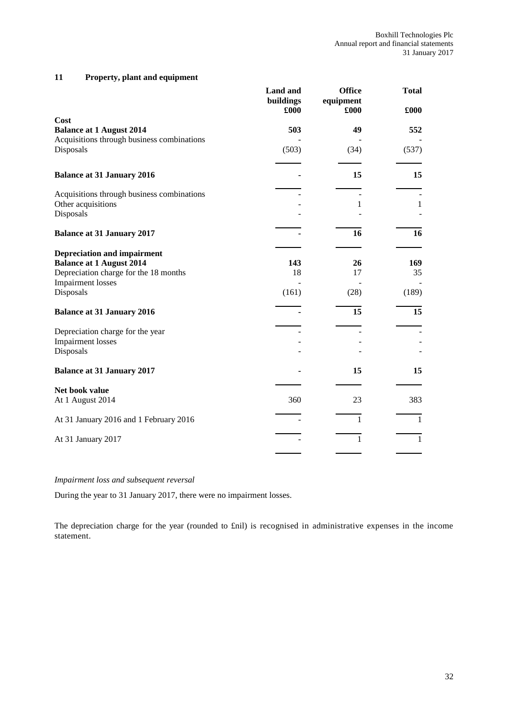## **11 Property, plant and equipment**

|                                                                                                                                            | <b>Land</b> and<br>buildings<br>£000 | <b>Office</b><br>equipment<br>£000 | <b>Total</b><br>£000 |
|--------------------------------------------------------------------------------------------------------------------------------------------|--------------------------------------|------------------------------------|----------------------|
| Cost<br><b>Balance at 1 August 2014</b><br>Acquisitions through business combinations                                                      | 503                                  | 49                                 | 552                  |
| Disposals                                                                                                                                  | (503)                                | (34)                               | (537)                |
| <b>Balance at 31 January 2016</b>                                                                                                          |                                      | 15                                 | 15                   |
| Acquisitions through business combinations<br>Other acquisitions<br>Disposals                                                              |                                      | 1                                  | 1                    |
| <b>Balance at 31 January 2017</b>                                                                                                          |                                      | 16                                 | 16                   |
| <b>Depreciation and impairment</b><br><b>Balance at 1 August 2014</b><br>Depreciation charge for the 18 months<br><b>Impairment</b> losses | 143<br>18                            | 26<br>17                           | 169<br>35            |
| Disposals                                                                                                                                  | (161)                                | (28)                               | (189)                |
| <b>Balance at 31 January 2016</b>                                                                                                          |                                      | 15                                 | 15                   |
| Depreciation charge for the year<br><b>Impairment</b> losses<br>Disposals                                                                  |                                      |                                    |                      |
| <b>Balance at 31 January 2017</b>                                                                                                          |                                      | 15                                 | 15                   |
| Net book value<br>At 1 August 2014                                                                                                         | 360                                  | 23                                 | 383                  |
| At 31 January 2016 and 1 February 2016                                                                                                     |                                      | 1                                  | $\mathbf{1}$         |
| At 31 January 2017                                                                                                                         |                                      | 1                                  | $\mathbf{1}$         |

*Impairment loss and subsequent reversal*

During the year to 31 January 2017, there were no impairment losses.

The depreciation charge for the year (rounded to £nil) is recognised in administrative expenses in the income statement.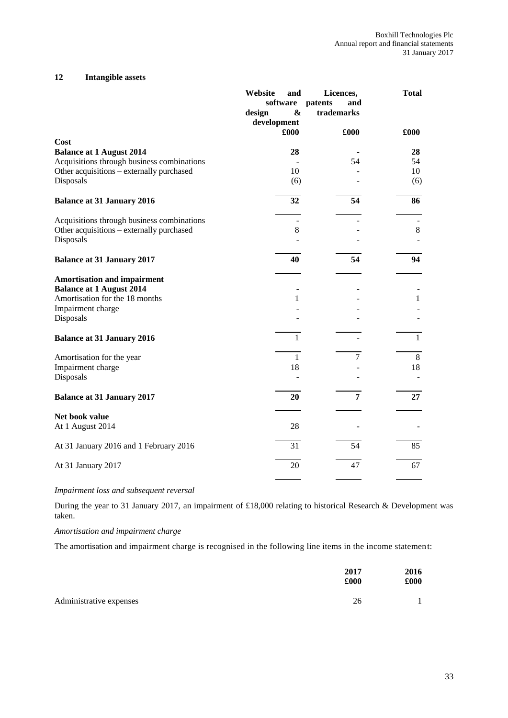#### **12 Intangible assets**

|                                            | Website<br>and<br>software<br>$\boldsymbol{\&}$<br>design | Licences,<br>patents<br>and<br>trademarks | <b>Total</b> |
|--------------------------------------------|-----------------------------------------------------------|-------------------------------------------|--------------|
|                                            | development                                               |                                           |              |
|                                            | £000                                                      | £000                                      | £000         |
| Cost                                       |                                                           |                                           |              |
| <b>Balance at 1 August 2014</b>            | 28                                                        |                                           | 28           |
| Acquisitions through business combinations |                                                           | 54                                        | 54           |
| Other acquisitions - externally purchased  | 10                                                        |                                           | 10           |
| Disposals                                  | (6)                                                       |                                           | (6)          |
| <b>Balance at 31 January 2016</b>          | 32                                                        | 54                                        | 86           |
| Acquisitions through business combinations | ÷.                                                        |                                           |              |
| Other acquisitions - externally purchased  | $8\,$                                                     |                                           | $\,8\,$      |
| Disposals                                  |                                                           |                                           |              |
|                                            | 40                                                        | 54                                        | 94           |
| <b>Balance at 31 January 2017</b>          |                                                           |                                           |              |
| <b>Amortisation and impairment</b>         |                                                           |                                           |              |
| <b>Balance at 1 August 2014</b>            |                                                           |                                           |              |
| Amortisation for the 18 months             | 1                                                         |                                           | 1            |
| Impairment charge                          |                                                           |                                           |              |
| Disposals                                  |                                                           |                                           |              |
| <b>Balance at 31 January 2016</b>          | $\mathbf{1}$                                              |                                           | $\mathbf{1}$ |
| Amortisation for the year                  | 1                                                         | 7                                         | 8            |
| Impairment charge                          | 18                                                        |                                           | 18           |
| Disposals                                  |                                                           |                                           |              |
| <b>Balance at 31 January 2017</b>          | 20                                                        | $\overline{7}$                            | 27           |
|                                            |                                                           |                                           |              |
| Net book value<br>At 1 August 2014         | 28                                                        |                                           |              |
|                                            |                                                           |                                           |              |
| At 31 January 2016 and 1 February 2016     | 31                                                        | 54                                        | 85           |
| At 31 January 2017                         | 20                                                        | 47                                        | 67           |
|                                            |                                                           |                                           |              |
|                                            |                                                           |                                           |              |

*Impairment loss and subsequent reversal*

During the year to 31 January 2017, an impairment of £18,000 relating to historical Research & Development was taken.

*Amortisation and impairment charge*

The amortisation and impairment charge is recognised in the following line items in the income statement:

|                         | 2017<br>£000 | 2016<br>£000 |
|-------------------------|--------------|--------------|
| Administrative expenses | 26           |              |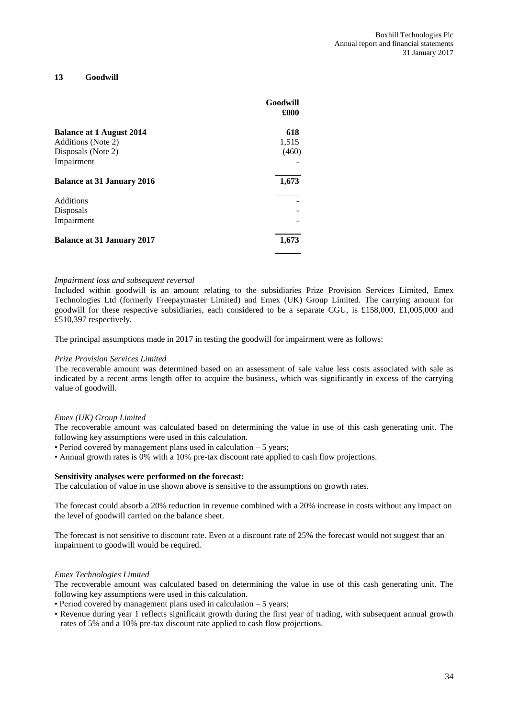#### **13 Goodwill**

|                                   | Goodwill<br>£000 |
|-----------------------------------|------------------|
| <b>Balance at 1 August 2014</b>   | 618              |
| Additions (Note 2)                | 1,515            |
| Disposals (Note 2)                | (460)            |
| Impairment                        |                  |
| <b>Balance at 31 January 2016</b> | 1,673            |
| <b>Additions</b>                  |                  |
| Disposals                         |                  |
| Impairment                        |                  |
| <b>Balance at 31 January 2017</b> | 1,673            |

#### *Impairment loss and subsequent reversal*

Included within goodwill is an amount relating to the subsidiaries Prize Provision Services Limited, Emex Technologies Ltd (formerly Freepaymaster Limited) and Emex (UK) Group Limited. The carrying amount for goodwill for these respective subsidiaries, each considered to be a separate CGU, is £158,000, £1,005,000 and £510,397 respectively.

The principal assumptions made in 2017 in testing the goodwill for impairment were as follows:

#### *Prize Provision Services Limited*

The recoverable amount was determined based on an assessment of sale value less costs associated with sale as indicated by a recent arms length offer to acquire the business, which was significantly in excess of the carrying value of goodwill.

#### *Emex (UK) Group Limited*

The recoverable amount was calculated based on determining the value in use of this cash generating unit. The following key assumptions were used in this calculation.

- Period covered by management plans used in calculation 5 years;
- Annual growth rates is 0% with a 10% pre-tax discount rate applied to cash flow projections.

#### **Sensitivity analyses were performed on the forecast:**

The calculation of value in use shown above is sensitive to the assumptions on growth rates.

The forecast could absorb a 20% reduction in revenue combined with a 20% increase in costs without any impact on the level of goodwill carried on the balance sheet.

The forecast is not sensitive to discount rate. Even at a discount rate of 25% the forecast would not suggest that an impairment to goodwill would be required.

#### *Emex Technologies Limited*

The recoverable amount was calculated based on determining the value in use of this cash generating unit. The following key assumptions were used in this calculation.

• Period covered by management plans used in calculation – 5 years;

• Revenue during year 1 reflects significant growth during the first year of trading, with subsequent annual growth rates of 5% and a 10% pre-tax discount rate applied to cash flow projections.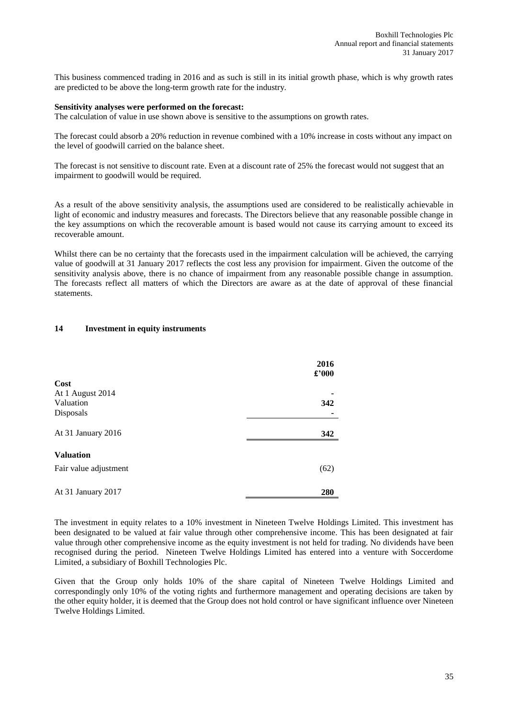This business commenced trading in 2016 and as such is still in its initial growth phase, which is why growth rates are predicted to be above the long-term growth rate for the industry.

#### **Sensitivity analyses were performed on the forecast:**

The calculation of value in use shown above is sensitive to the assumptions on growth rates.

The forecast could absorb a 20% reduction in revenue combined with a 10% increase in costs without any impact on the level of goodwill carried on the balance sheet.

The forecast is not sensitive to discount rate. Even at a discount rate of 25% the forecast would not suggest that an impairment to goodwill would be required.

As a result of the above sensitivity analysis, the assumptions used are considered to be realistically achievable in light of economic and industry measures and forecasts. The Directors believe that any reasonable possible change in the key assumptions on which the recoverable amount is based would not cause its carrying amount to exceed its recoverable amount.

Whilst there can be no certainty that the forecasts used in the impairment calculation will be achieved, the carrying value of goodwill at 31 January 2017 reflects the cost less any provision for impairment. Given the outcome of the sensitivity analysis above, there is no chance of impairment from any reasonable possible change in assumption. The forecasts reflect all matters of which the Directors are aware as at the date of approval of these financial statements.

#### **14 Investment in equity instruments**

|                       | 2016<br>£'000 |
|-----------------------|---------------|
| Cost                  |               |
| At 1 August 2014      |               |
| Valuation             | 342           |
| Disposals             |               |
| At 31 January 2016    | 342           |
|                       |               |
| <b>Valuation</b>      |               |
| Fair value adjustment | (62)          |
|                       |               |
| At 31 January 2017    | 280           |

The investment in equity relates to a 10% investment in Nineteen Twelve Holdings Limited. This investment has been designated to be valued at fair value through other comprehensive income. This has been designated at fair value through other comprehensive income as the equity investment is not held for trading. No dividends have been recognised during the period. Nineteen Twelve Holdings Limited has entered into a venture with Soccerdome Limited, a subsidiary of Boxhill Technologies Plc.

Given that the Group only holds 10% of the share capital of Nineteen Twelve Holdings Limited and correspondingly only 10% of the voting rights and furthermore management and operating decisions are taken by the other equity holder, it is deemed that the Group does not hold control or have significant influence over Nineteen Twelve Holdings Limited.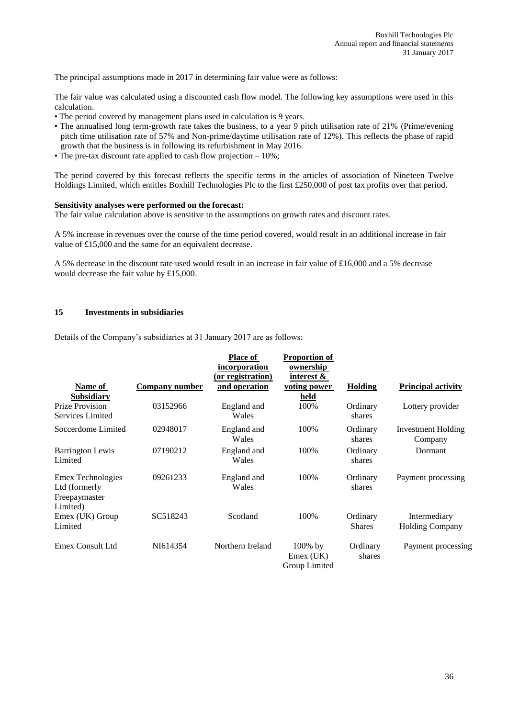The principal assumptions made in 2017 in determining fair value were as follows:

The fair value was calculated using a discounted cash flow model. The following key assumptions were used in this calculation.

- The period covered by management plans used in calculation is 9 years.
- The annualised long term-growth rate takes the business, to a year 9 pitch utilisation rate of 21% (Prime/evening pitch time utilisation rate of 57% and Non-prime/daytime utilisation rate of 12%). This reflects the phase of rapid growth that the business is in following its refurbishment in May 2016.
- The pre-tax discount rate applied to cash flow projection 10%;

The period covered by this forecast reflects the specific terms in the articles of association of Nineteen Twelve Holdings Limited, which entitles Boxhill Technologies Plc to the first £250,000 of post tax profits over that period.

#### **Sensitivity analyses were performed on the forecast:**

The fair value calculation above is sensitive to the assumptions on growth rates and discount rates.

A 5% increase in revenues over the course of the time period covered, would result in an additional increase in fair value of £15,000 and the same for an equivalent decrease.

A 5% decrease in the discount rate used would result in an increase in fair value of £16,000 and a 5% decrease would decrease the fair value by £15,000.

#### **15 Investments in subsidiaries**

Details of the Company's subsidiaries at 31 January 2017 are as follows:

|                                                                 |                       | <b>Place of</b><br>incorporation<br>(or registration) | <b>Proportion of</b><br>ownership<br>interest & |                           |                                        |
|-----------------------------------------------------------------|-----------------------|-------------------------------------------------------|-------------------------------------------------|---------------------------|----------------------------------------|
| Name of                                                         | <b>Company number</b> | and operation                                         | voting power                                    | <b>Holding</b>            | <b>Principal activity</b>              |
| <b>Subsidiary</b><br>Prize Provision<br>Services Limited        | 03152966              | England and<br>Wales                                  | held<br>100%                                    | Ordinary<br>shares        | Lottery provider                       |
| Soccerdome Limited                                              | 02948017              | England and<br>Wales                                  | 100%                                            | Ordinary<br>shares        | Investment Holding<br>Company          |
| <b>Barrington Lewis</b><br>Limited                              | 07190212              | England and<br>Wales                                  | 100%                                            | Ordinary<br>shares        | Dormant                                |
| Emex Technologies<br>Ltd (formerly<br>Freepaymaster<br>Limited) | 09261233              | England and<br>Wales                                  | 100%                                            | Ordinary<br>shares        | Payment processing                     |
| Emex (UK) Group<br>Limited                                      | SC518243              | Scotland                                              | 100%                                            | Ordinary<br><b>Shares</b> | Intermediary<br><b>Holding Company</b> |
| Emex Consult Ltd                                                | NI614354              | Northern Ireland                                      | $100\%$ by<br>Emex (UK)<br>Group Limited        | Ordinary<br>shares        | Payment processing                     |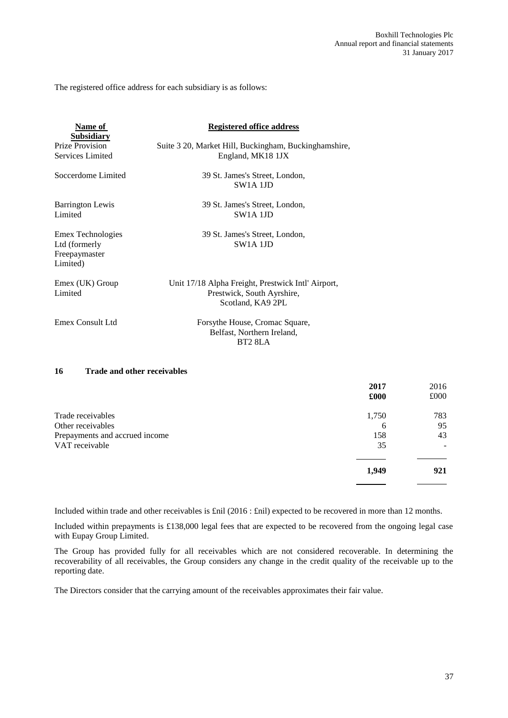The registered office address for each subsidiary is as follows:

| Name of<br><b>Subsidiary</b>                                    | <b>Registered office address</b>                                                                      |
|-----------------------------------------------------------------|-------------------------------------------------------------------------------------------------------|
| Prize Provision<br>Services Limited                             | Suite 3 20, Market Hill, Buckingham, Buckinghamshire,<br>England, MK18 1JX                            |
| Soccerdome Limited                                              | 39 St. James's Street, London,<br>$SW1A$ 1JD                                                          |
| <b>Barrington Lewis</b><br>Limited                              | 39 St. James's Street, London,<br>SW <sub>1</sub> A 1JD                                               |
| Emex Technologies<br>Ltd (formerly<br>Freepaymaster<br>Limited) | 39 St. James's Street, London,<br>$SW1A$ 1JD                                                          |
| Emex (UK) Group<br>Limited                                      | Unit 17/18 Alpha Freight, Prestwick Intl' Airport,<br>Prestwick, South Ayrshire,<br>Scotland, KA9 2PL |
| Emex Consult Ltd                                                | Forsythe House, Cromac Square,<br>Belfast, Northern Ireland,<br><b>BT2 8LA</b>                        |

#### **16 Trade and other receivables**

|                                | 2017  | 2016 |
|--------------------------------|-------|------|
|                                | £000  | £000 |
| Trade receivables              | 1,750 | 783  |
| Other receivables              | 6     | 95   |
| Prepayments and accrued income | 158   | 43   |
| VAT receivable                 | 35    |      |
|                                | 1,949 | 921  |
|                                |       |      |

Included within trade and other receivables is £nil (2016 : £nil) expected to be recovered in more than 12 months.

Included within prepayments is £138,000 legal fees that are expected to be recovered from the ongoing legal case with Eupay Group Limited.

The Group has provided fully for all receivables which are not considered recoverable. In determining the recoverability of all receivables, the Group considers any change in the credit quality of the receivable up to the reporting date.

The Directors consider that the carrying amount of the receivables approximates their fair value.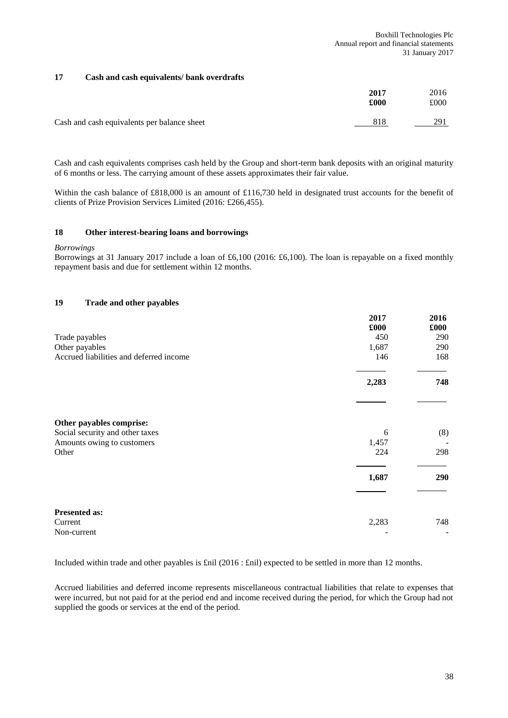#### **17 Cash and cash equivalents/ bank overdrafts**

|                                             | 2017<br>£000 | 2016<br>£000 |
|---------------------------------------------|--------------|--------------|
| Cash and cash equivalents per balance sheet | 818          | 291          |

Cash and cash equivalents comprises cash held by the Group and short-term bank deposits with an original maturity of 6 months or less. The carrying amount of these assets approximates their fair value.

Within the cash balance of £818,000 is an amount of £116,730 held in designated trust accounts for the benefit of clients of Prize Provision Services Limited (2016: £266,455).

#### **18 Other interest-bearing loans and borrowings**

*Borrowings*

Borrowings at 31 January 2017 include a loan of £6,100 (2016: £6,100). The loan is repayable on a fixed monthly repayment basis and due for settlement within 12 months.

#### **19 Trade and other payables**

|                                         | 2017  | 2016 |
|-----------------------------------------|-------|------|
|                                         | £000  | £000 |
| Trade payables                          | 450   | 290  |
| Other payables                          | 1,687 | 290  |
| Accrued liabilities and deferred income | 146   | 168  |
|                                         | 2,283 | 748  |
|                                         |       |      |
| Other payables comprise:                |       |      |
| Social security and other taxes         | 6     | (8)  |
| Amounts owing to customers              | 1,457 |      |
| Other                                   | 224   | 298  |
|                                         | 1,687 | 290  |
|                                         |       |      |
| <b>Presented as:</b>                    |       |      |
| Current                                 | 2,283 | 748  |
| Non-current                             |       |      |

Included within trade and other payables is £nil (2016 : £nil) expected to be settled in more than 12 months.

Accrued liabilities and deferred income represents miscellaneous contractual liabilities that relate to expenses that were incurred, but not paid for at the period end and income received during the period, for which the Group had not supplied the goods or services at the end of the period.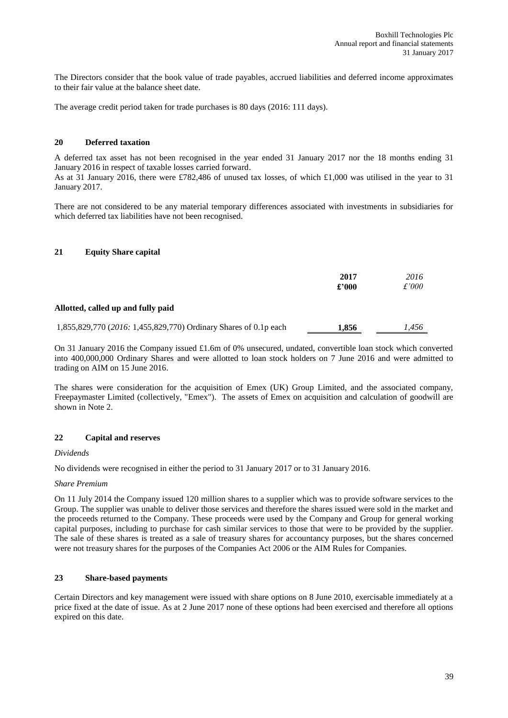The Directors consider that the book value of trade payables, accrued liabilities and deferred income approximates to their fair value at the balance sheet date.

The average credit period taken for trade purchases is 80 days (2016: 111 days).

#### **20 Deferred taxation**

A deferred tax asset has not been recognised in the year ended 31 January 2017 nor the 18 months ending 31 January 2016 in respect of taxable losses carried forward.

As at 31 January 2016, there were £782,486 of unused tax losses, of which £1,000 was utilised in the year to 31 January 2017.

There are not considered to be any material temporary differences associated with investments in subsidiaries for which deferred tax liabilities have not been recognised.

#### **21 Equity Share capital**

|                                                                  | 2017<br>£'000 | 2016<br>$\pounds'000$ |
|------------------------------------------------------------------|---------------|-----------------------|
| Allotted, called up and fully paid                               |               |                       |
| 1,855,829,770 (2016: 1,455,829,770) Ordinary Shares of 0.1p each | 1.856         | 1.456                 |

On 31 January 2016 the Company issued £1.6m of 0% unsecured, undated, convertible loan stock which converted into 400,000,000 Ordinary Shares and were allotted to loan stock holders on 7 June 2016 and were admitted to trading on AIM on 15 June 2016.

The shares were consideration for the acquisition of Emex (UK) Group Limited, and the associated company, Freepaymaster Limited (collectively, "Emex"). The assets of Emex on acquisition and calculation of goodwill are shown in Note 2.

#### **22 Capital and reserves**

#### *Dividends*

No dividends were recognised in either the period to 31 January 2017 or to 31 January 2016.

#### *Share Premium*

On 11 July 2014 the Company issued 120 million shares to a supplier which was to provide software services to the Group. The supplier was unable to deliver those services and therefore the shares issued were sold in the market and the proceeds returned to the Company. These proceeds were used by the Company and Group for general working capital purposes, including to purchase for cash similar services to those that were to be provided by the supplier. The sale of these shares is treated as a sale of treasury shares for accountancy purposes, but the shares concerned were not treasury shares for the purposes of the Companies Act 2006 or the AIM Rules for Companies.

#### **23 Share-based payments**

Certain Directors and key management were issued with share options on 8 June 2010, exercisable immediately at a price fixed at the date of issue. As at 2 June 2017 none of these options had been exercised and therefore all options expired on this date.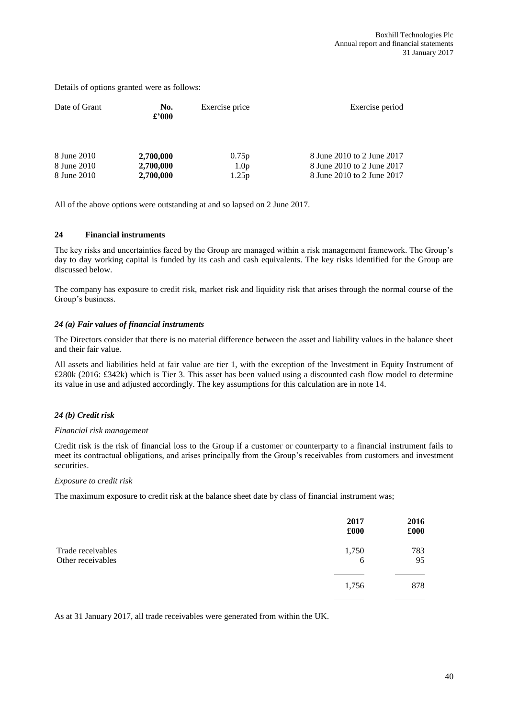Details of options granted were as follows:

| Date of Grant | No.<br>$\pounds 000$ | Exercise price   | Exercise period            |
|---------------|----------------------|------------------|----------------------------|
| 8 June 2010   | 2,700,000            | 0.75p            | 8 June 2010 to 2 June 2017 |
| 8 June 2010   | 2,700,000            | 1.0 <sub>p</sub> | 8 June 2010 to 2 June 2017 |
| 8 June 2010   | 2,700,000            | 1.25p            | 8 June 2010 to 2 June 2017 |

All of the above options were outstanding at and so lapsed on 2 June 2017.

#### **24 Financial instruments**

The key risks and uncertainties faced by the Group are managed within a risk management framework. The Group's day to day working capital is funded by its cash and cash equivalents. The key risks identified for the Group are discussed below.

The company has exposure to credit risk, market risk and liquidity risk that arises through the normal course of the Group's business.

#### *24 (a) Fair values of financial instruments*

The Directors consider that there is no material difference between the asset and liability values in the balance sheet and their fair value.

All assets and liabilities held at fair value are tier 1, with the exception of the Investment in Equity Instrument of £280k (2016: £342k) which is Tier 3. This asset has been valued using a discounted cash flow model to determine its value in use and adjusted accordingly. The key assumptions for this calculation are in note 14.

#### *24 (b) Credit risk*

#### *Financial risk management*

Credit risk is the risk of financial loss to the Group if a customer or counterparty to a financial instrument fails to meet its contractual obligations, and arises principally from the Group's receivables from customers and investment securities.

#### *Exposure to credit risk*

The maximum exposure to credit risk at the balance sheet date by class of financial instrument was;

|                                        | 2017<br>£000 | 2016<br>£000 |
|----------------------------------------|--------------|--------------|
| Trade receivables<br>Other receivables | 1,750<br>6   | 783<br>95    |
|                                        | 1,756        | 878          |

As at 31 January 2017, all trade receivables were generated from within the UK.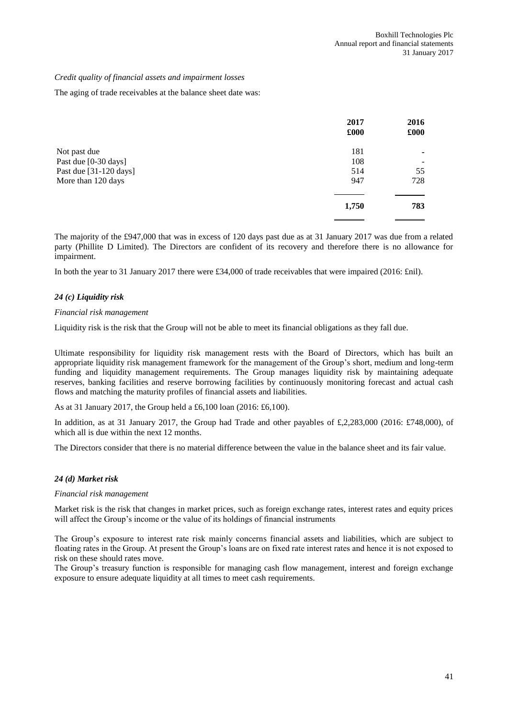#### *Credit quality of financial assets and impairment losses*

The aging of trade receivables at the balance sheet date was:

|                        | 2017<br>£000 | 2016<br>£000             |
|------------------------|--------------|--------------------------|
| Not past due           | 181          | ۰                        |
| Past due [0-30 days]   | 108          | $\overline{\phantom{0}}$ |
| Past due [31-120 days] | 514          | 55                       |
| More than 120 days     | 947          | 728                      |
|                        | 1,750        | 783                      |
|                        |              |                          |

The majority of the £947,000 that was in excess of 120 days past due as at 31 January 2017 was due from a related party (Phillite D Limited). The Directors are confident of its recovery and therefore there is no allowance for impairment.

In both the year to 31 January 2017 there were £34,000 of trade receivables that were impaired (2016: £nil).

#### *24 (c) Liquidity risk*

#### *Financial risk management*

Liquidity risk is the risk that the Group will not be able to meet its financial obligations as they fall due.

Ultimate responsibility for liquidity risk management rests with the Board of Directors, which has built an appropriate liquidity risk management framework for the management of the Group's short, medium and long-term funding and liquidity management requirements. The Group manages liquidity risk by maintaining adequate reserves, banking facilities and reserve borrowing facilities by continuously monitoring forecast and actual cash flows and matching the maturity profiles of financial assets and liabilities.

As at 31 January 2017, the Group held a £6,100 loan (2016: £6,100).

In addition, as at 31 January 2017, the Group had Trade and other payables of £,2,283,000 (2016: £748,000), of which all is due within the next 12 months.

The Directors consider that there is no material difference between the value in the balance sheet and its fair value.

#### *24 (d) Market risk*

#### *Financial risk management*

Market risk is the risk that changes in market prices, such as foreign exchange rates, interest rates and equity prices will affect the Group's income or the value of its holdings of financial instruments

The Group's exposure to interest rate risk mainly concerns financial assets and liabilities, which are subject to floating rates in the Group. At present the Group's loans are on fixed rate interest rates and hence it is not exposed to risk on these should rates move.

The Group's treasury function is responsible for managing cash flow management, interest and foreign exchange exposure to ensure adequate liquidity at all times to meet cash requirements.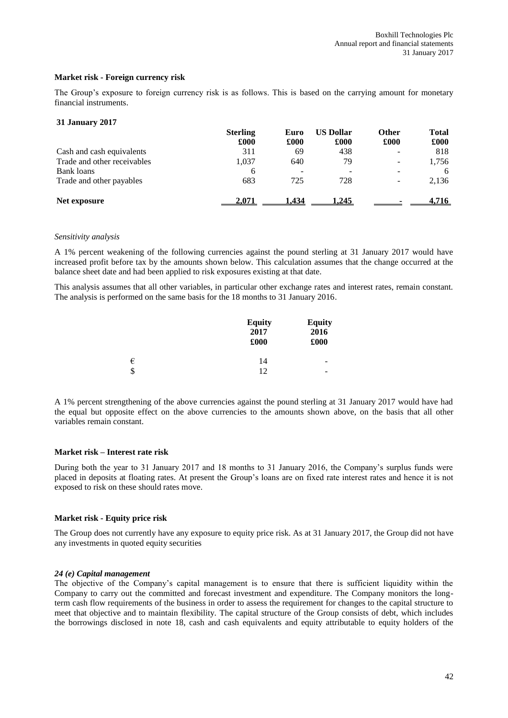#### **Market risk - Foreign currency risk**

The Group's exposure to foreign currency risk is as follows. This is based on the carrying amount for monetary financial instruments.

#### **31 January 2017**

|                             | <b>Sterling</b><br>£000 | Euro<br>£000             | <b>US Dollar</b><br>£000 | Other<br>£000                | Total<br>£000 |
|-----------------------------|-------------------------|--------------------------|--------------------------|------------------------------|---------------|
| Cash and cash equivalents   | 311                     | 69                       | 438                      | $\overline{\phantom{a}}$     | 818           |
| Trade and other receivables | 1,037                   | 640                      | 79                       | $\overline{\phantom{a}}$     | 1.756         |
| <b>Bank</b> loans           | 6                       | $\overline{\phantom{a}}$ | $\overline{\phantom{a}}$ | $\overline{\phantom{0}}$     | 6             |
| Trade and other payables    | 683                     | 725                      | 728                      | $\qquad \qquad \blacksquare$ | 2,136         |
| Net exposure                |                         | 1.434                    | 1.245                    |                              | 4.716         |

#### *Sensitivity analysis*

A 1% percent weakening of the following currencies against the pound sterling at 31 January 2017 would have increased profit before tax by the amounts shown below. This calculation assumes that the change occurred at the balance sheet date and had been applied to risk exposures existing at that date.

This analysis assumes that all other variables, in particular other exchange rates and interest rates, remain constant. The analysis is performed on the same basis for the 18 months to 31 January 2016.

|                           | <b>Equity</b><br>2017 | <b>Equity</b><br>2016 |
|---------------------------|-----------------------|-----------------------|
|                           | £000                  | £000                  |
| €                         | 14                    |                       |
| $\boldsymbol{\mathsf{S}}$ | 12                    |                       |

A 1% percent strengthening of the above currencies against the pound sterling at 31 January 2017 would have had the equal but opposite effect on the above currencies to the amounts shown above, on the basis that all other variables remain constant.

#### **Market risk – Interest rate risk**

During both the year to 31 January 2017 and 18 months to 31 January 2016, the Company's surplus funds were placed in deposits at floating rates. At present the Group's loans are on fixed rate interest rates and hence it is not exposed to risk on these should rates move.

#### **Market risk - Equity price risk**

The Group does not currently have any exposure to equity price risk. As at 31 January 2017, the Group did not have any investments in quoted equity securities

#### *24 (e) Capital management*

The objective of the Company's capital management is to ensure that there is sufficient liquidity within the Company to carry out the committed and forecast investment and expenditure. The Company monitors the longterm cash flow requirements of the business in order to assess the requirement for changes to the capital structure to meet that objective and to maintain flexibility. The capital structure of the Group consists of debt, which includes the borrowings disclosed in note 18, cash and cash equivalents and equity attributable to equity holders of the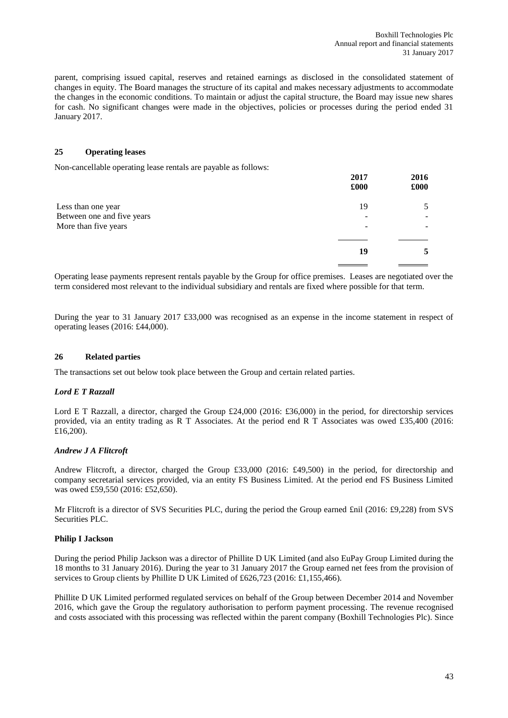parent, comprising issued capital, reserves and retained earnings as disclosed in the consolidated statement of changes in equity. The Board manages the structure of its capital and makes necessary adjustments to accommodate the changes in the economic conditions. To maintain or adjust the capital structure, the Board may issue new shares for cash. No significant changes were made in the objectives, policies or processes during the period ended 31 January 2017.

#### **25 Operating leases**

Non-cancellable operating lease rentals are payable as follows:

|                            | 2017<br>£000 | 2016<br>£000    |
|----------------------------|--------------|-----------------|
| Less than one year         | 19           |                 |
| Between one and five years | -            | $\qquad \qquad$ |
| More than five years       | -            | -               |
|                            |              |                 |
|                            | 19           |                 |
|                            |              |                 |

Operating lease payments represent rentals payable by the Group for office premises. Leases are negotiated over the term considered most relevant to the individual subsidiary and rentals are fixed where possible for that term.

During the year to 31 January 2017 £33,000 was recognised as an expense in the income statement in respect of operating leases (2016: £44,000).

#### **26 Related parties**

The transactions set out below took place between the Group and certain related parties.

#### *Lord E T Razzall*

Lord E T Razzall, a director, charged the Group £24,000 (2016: £36,000) in the period, for directorship services provided, via an entity trading as R T Associates. At the period end R T Associates was owed £35,400 (2016: £16,200).

#### *Andrew J A Flitcroft*

Andrew Flitcroft, a director, charged the Group £33,000 (2016: £49,500) in the period, for directorship and company secretarial services provided, via an entity FS Business Limited. At the period end FS Business Limited was owed £59,550 (2016: £52,650).

Mr Flitcroft is a director of SVS Securities PLC, during the period the Group earned £nil (2016: £9,228) from SVS Securities PLC.

#### **Philip I Jackson**

During the period Philip Jackson was a director of Phillite D UK Limited (and also EuPay Group Limited during the 18 months to 31 January 2016). During the year to 31 January 2017 the Group earned net fees from the provision of services to Group clients by Phillite D UK Limited of £626,723 (2016: £1,155,466).

Phillite D UK Limited performed regulated services on behalf of the Group between December 2014 and November 2016, which gave the Group the regulatory authorisation to perform payment processing. The revenue recognised and costs associated with this processing was reflected within the parent company (Boxhill Technologies Plc). Since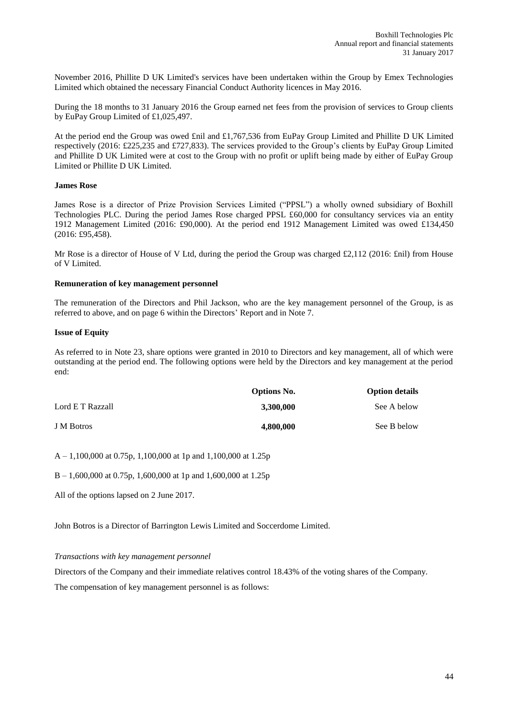November 2016, Phillite D UK Limited's services have been undertaken within the Group by Emex Technologies Limited which obtained the necessary Financial Conduct Authority licences in May 2016.

During the 18 months to 31 January 2016 the Group earned net fees from the provision of services to Group clients by EuPay Group Limited of £1,025,497.

At the period end the Group was owed £nil and £1,767,536 from EuPay Group Limited and Phillite D UK Limited respectively (2016: £225,235 and £727,833). The services provided to the Group's clients by EuPay Group Limited and Phillite D UK Limited were at cost to the Group with no profit or uplift being made by either of EuPay Group Limited or Phillite D UK Limited.

#### **James Rose**

James Rose is a director of Prize Provision Services Limited ("PPSL") a wholly owned subsidiary of Boxhill Technologies PLC. During the period James Rose charged PPSL £60,000 for consultancy services via an entity 1912 Management Limited (2016: £90,000). At the period end 1912 Management Limited was owed £134,450 (2016: £95,458).

Mr Rose is a director of House of V Ltd, during the period the Group was charged £2,112 (2016: £nil) from House of V Limited.

#### **Remuneration of key management personnel**

The remuneration of the Directors and Phil Jackson, who are the key management personnel of the Group, is as referred to above, and on page 6 within the Directors' Report and in Note 7.

#### **Issue of Equity**

As referred to in Note 23, share options were granted in 2010 to Directors and key management, all of which were outstanding at the period end. The following options were held by the Directors and key management at the period end:

|                  | <b>Options No.</b> | <b>Option details</b> |
|------------------|--------------------|-----------------------|
| Lord E T Razzall | 3,300,000          | See A below           |
| J M Botros       | 4.800.000          | See B below           |

A – 1,100,000 at 0.75p, 1,100,000 at 1p and 1,100,000 at 1.25p

B – 1,600,000 at 0.75p, 1,600,000 at 1p and 1,600,000 at 1.25p

All of the options lapsed on 2 June 2017.

John Botros is a Director of Barrington Lewis Limited and Soccerdome Limited.

#### *Transactions with key management personnel*

Directors of the Company and their immediate relatives control 18.43% of the voting shares of the Company. The compensation of key management personnel is as follows: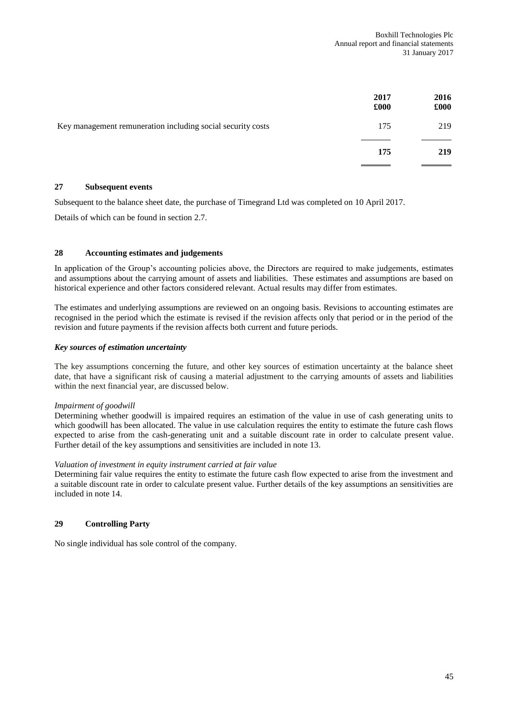|                                                             | 2017<br>£000 | 2016<br>£000 |
|-------------------------------------------------------------|--------------|--------------|
| Key management remuneration including social security costs | 175          | 219          |
|                                                             | 175          | 219          |
|                                                             |              |              |

#### **27 Subsequent events**

Subsequent to the balance sheet date, the purchase of Timegrand Ltd was completed on 10 April 2017.

Details of which can be found in section 2.7.

#### **28 Accounting estimates and judgements**

In application of the Group's accounting policies above, the Directors are required to make judgements, estimates and assumptions about the carrying amount of assets and liabilities. These estimates and assumptions are based on historical experience and other factors considered relevant. Actual results may differ from estimates.

The estimates and underlying assumptions are reviewed on an ongoing basis. Revisions to accounting estimates are recognised in the period which the estimate is revised if the revision affects only that period or in the period of the revision and future payments if the revision affects both current and future periods.

#### *Key sources of estimation uncertainty*

The key assumptions concerning the future, and other key sources of estimation uncertainty at the balance sheet date, that have a significant risk of causing a material adjustment to the carrying amounts of assets and liabilities within the next financial year, are discussed below.

#### *Impairment of goodwill*

Determining whether goodwill is impaired requires an estimation of the value in use of cash generating units to which goodwill has been allocated. The value in use calculation requires the entity to estimate the future cash flows expected to arise from the cash-generating unit and a suitable discount rate in order to calculate present value. Further detail of the key assumptions and sensitivities are included in note 13.

#### *Valuation of investment in equity instrument carried at fair value*

Determining fair value requires the entity to estimate the future cash flow expected to arise from the investment and a suitable discount rate in order to calculate present value. Further details of the key assumptions an sensitivities are included in note 14.

#### **29 Controlling Party**

No single individual has sole control of the company.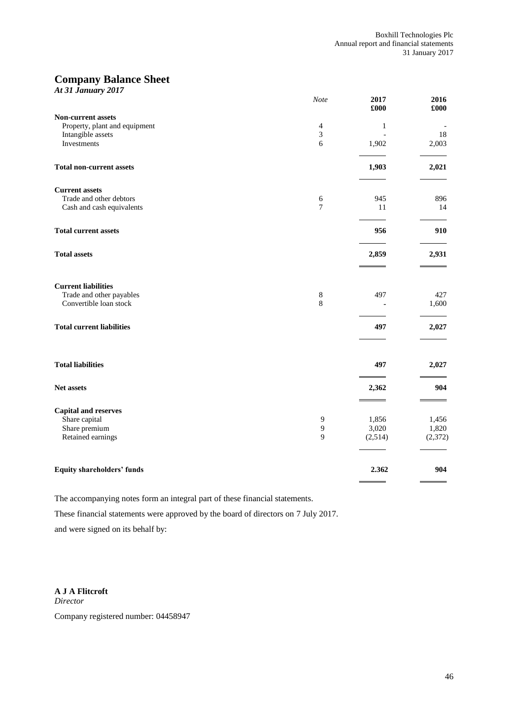# **Company Balance Sheet**

| At 31 January 2017                |                |                          |              |
|-----------------------------------|----------------|--------------------------|--------------|
|                                   | Note           | 2017<br>£000             | 2016<br>£000 |
| Non-current assets                |                |                          |              |
| Property, plant and equipment     | 4              | $\mathbf{1}$             |              |
| Intangible assets                 | 3              | $\overline{\phantom{a}}$ | 18           |
| Investments                       | $\sqrt{6}$     | 1,902                    | 2,003        |
| <b>Total non-current assets</b>   |                | 1,903                    | 2,021        |
| <b>Current assets</b>             |                |                          |              |
| Trade and other debtors           | $\sqrt{6}$     | 945                      | 896          |
| Cash and cash equivalents         | 7              | 11                       | 14           |
| <b>Total current assets</b>       |                | 956                      | 910          |
| <b>Total assets</b>               |                | 2,859                    | 2,931        |
| <b>Current liabilities</b>        |                |                          |              |
| Trade and other payables          | $\,$ 8 $\,$    | 497                      | 427          |
| Convertible loan stock            | 8              |                          | 1,600        |
| <b>Total current liabilities</b>  |                | 497                      | 2,027        |
| <b>Total liabilities</b>          |                | 497                      | 2,027        |
| Net assets                        |                | 2,362                    | 904          |
| <b>Capital and reserves</b>       |                |                          |              |
| Share capital                     | $\overline{9}$ | 1,856                    | 1,456        |
| Share premium                     | $\overline{9}$ | 3,020                    | 1,820        |
| Retained earnings                 | 9              | (2,514)                  | (2,372)      |
| <b>Equity shareholders' funds</b> |                | 2.362                    | 904          |
|                                   |                |                          |              |

The accompanying notes form an integral part of these financial statements.

These financial statements were approved by the board of directors on 7 July 2017.

and were signed on its behalf by:

**A J A Flitcroft** *Director*

Company registered number: 04458947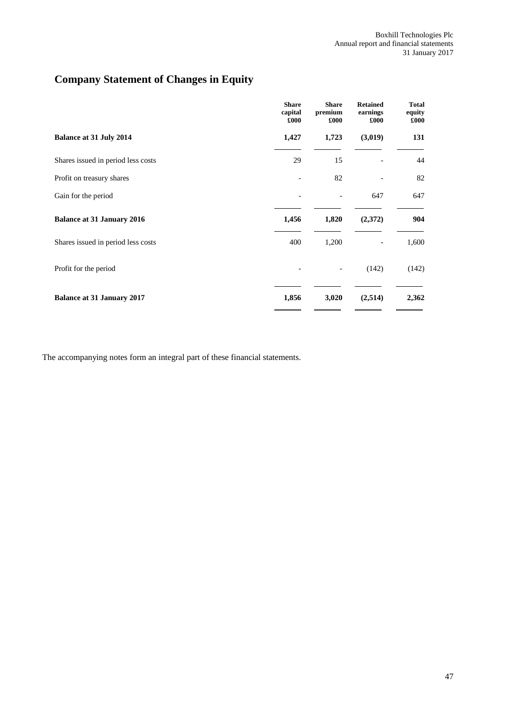# **Company Statement of Changes in Equity**

|                                    | <b>Share</b><br>capital<br>£000 | <b>Share</b><br>premium<br>£000 | <b>Retained</b><br>earnings<br>£000 | <b>Total</b><br>equity<br>£000 |
|------------------------------------|---------------------------------|---------------------------------|-------------------------------------|--------------------------------|
| <b>Balance at 31 July 2014</b>     | 1,427                           | 1,723                           | (3,019)                             | 131                            |
| Shares issued in period less costs | 29                              | 15                              |                                     | 44                             |
| Profit on treasury shares          |                                 | 82                              |                                     | 82                             |
| Gain for the period                |                                 |                                 | 647                                 | 647                            |
| <b>Balance at 31 January 2016</b>  | 1,456                           | 1,820                           | (2,372)                             | 904                            |
| Shares issued in period less costs | 400                             | 1,200                           |                                     | 1,600                          |
| Profit for the period              |                                 |                                 | (142)                               | (142)                          |
| <b>Balance at 31 January 2017</b>  | 1,856                           | 3,020                           | (2,514)                             | 2,362                          |

The accompanying notes form an integral part of these financial statements.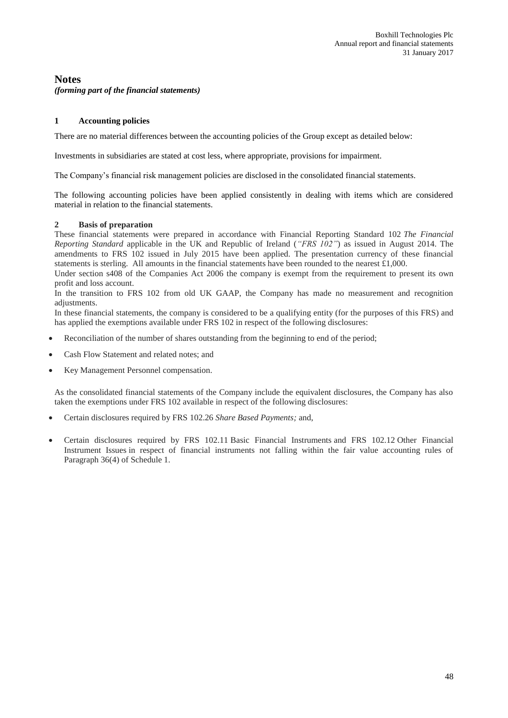## **Notes**

*(forming part of the financial statements)*

## **1 Accounting policies**

There are no material differences between the accounting policies of the Group except as detailed below:

Investments in subsidiaries are stated at cost less, where appropriate, provisions for impairment.

The Company's financial risk management policies are disclosed in the consolidated financial statements.

The following accounting policies have been applied consistently in dealing with items which are considered material in relation to the financial statements.

#### **2 Basis of preparation**

These financial statements were prepared in accordance with Financial Reporting Standard 102 *The Financial Reporting Standard* applicable in the UK and Republic of Ireland (*"FRS 102"*) as issued in August 2014. The amendments to FRS 102 issued in July 2015 have been applied. The presentation currency of these financial statements is sterling. All amounts in the financial statements have been rounded to the nearest  $£1,000$ .

Under section s408 of the Companies Act 2006 the company is exempt from the requirement to present its own profit and loss account.

In the transition to FRS 102 from old UK GAAP, the Company has made no measurement and recognition adjustments.

In these financial statements, the company is considered to be a qualifying entity (for the purposes of this FRS) and has applied the exemptions available under FRS 102 in respect of the following disclosures:

- Reconciliation of the number of shares outstanding from the beginning to end of the period;
- Cash Flow Statement and related notes; and
- Key Management Personnel compensation.

As the consolidated financial statements of the Company include the equivalent disclosures, the Company has also taken the exemptions under FRS 102 available in respect of the following disclosures:

- Certain disclosures required by FRS 102.26 *Share Based Payments;* and,
- Certain disclosures required by FRS 102.11 Basic Financial Instruments and FRS 102.12 Other Financial Instrument Issues in respect of financial instruments not falling within the fair value accounting rules of Paragraph 36(4) of Schedule 1.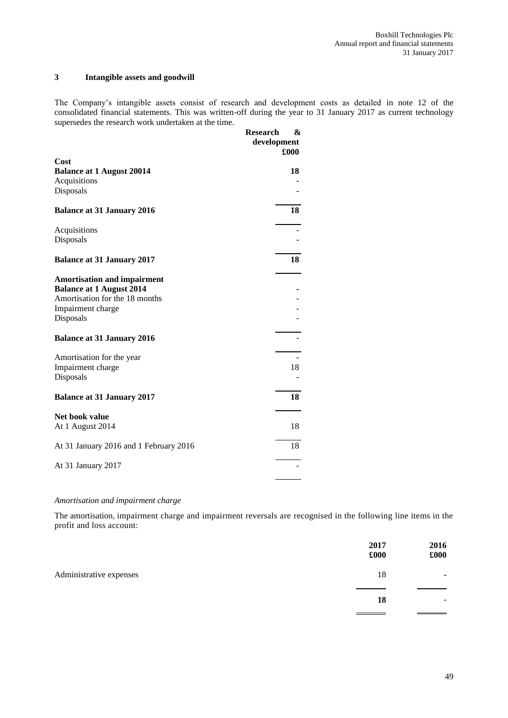#### **3 Intangible assets and goodwill**

The Company's intangible assets consist of research and development costs as detailed in note 12 of the consolidated financial statements. This was written-off during the year to 31 January 2017 as current technology supersedes the research work undertaken at the time. **Research &** 

| development<br>Cost<br><b>Balance at 1 August 20014</b><br>Acquisitions                                                                   | £000<br>18 |
|-------------------------------------------------------------------------------------------------------------------------------------------|------------|
|                                                                                                                                           |            |
|                                                                                                                                           |            |
|                                                                                                                                           |            |
|                                                                                                                                           |            |
|                                                                                                                                           |            |
| Disposals                                                                                                                                 |            |
| <b>Balance at 31 January 2016</b>                                                                                                         | 18         |
| Acquisitions                                                                                                                              |            |
| Disposals                                                                                                                                 |            |
| <b>Balance at 31 January 2017</b>                                                                                                         | 18         |
| <b>Amortisation and impairment</b><br><b>Balance at 1 August 2014</b><br>Amortisation for the 18 months<br>Impairment charge<br>Disposals |            |
| <b>Balance at 31 January 2016</b>                                                                                                         |            |
| Amortisation for the year<br>Impairment charge<br>Disposals                                                                               | 18         |
| <b>Balance at 31 January 2017</b>                                                                                                         | 18         |
| Net book value<br>At 1 August 2014                                                                                                        | 18         |
| At 31 January 2016 and 1 February 2016                                                                                                    | 18         |
| At 31 January 2017                                                                                                                        |            |

#### *Amortisation and impairment charge*

The amortisation, impairment charge and impairment reversals are recognised in the following line items in the profit and loss account:

|                         | 2017<br>£000 | 2016<br>£000             |
|-------------------------|--------------|--------------------------|
| Administrative expenses | 18           | $\blacksquare$           |
|                         | 18           | $\overline{\phantom{0}}$ |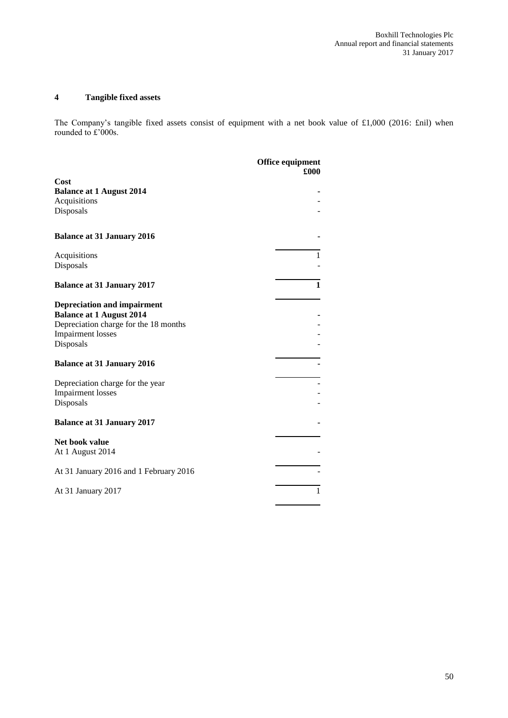#### **4 Tangible fixed assets**

The Company's tangible fixed assets consist of equipment with a net book value of £1,000 (2016: £nil) when rounded to £'000s.

|                                                                                                                | Office equipment<br>£000 |
|----------------------------------------------------------------------------------------------------------------|--------------------------|
| Cost                                                                                                           |                          |
| <b>Balance at 1 August 2014</b>                                                                                |                          |
| Acquisitions                                                                                                   |                          |
| Disposals                                                                                                      |                          |
|                                                                                                                |                          |
| <b>Balance at 31 January 2016</b>                                                                              |                          |
| Acquisitions                                                                                                   | 1                        |
| Disposals                                                                                                      |                          |
|                                                                                                                |                          |
| <b>Balance at 31 January 2017</b>                                                                              | 1                        |
| <b>Depreciation and impairment</b><br><b>Balance at 1 August 2014</b><br>Depreciation charge for the 18 months |                          |
| <b>Impairment</b> losses<br>Disposals                                                                          |                          |
| <b>Balance at 31 January 2016</b>                                                                              |                          |
| Depreciation charge for the year<br><b>Impairment</b> losses                                                   |                          |
| Disposals                                                                                                      |                          |
| <b>Balance at 31 January 2017</b>                                                                              |                          |
| Net book value<br>At 1 August 2014                                                                             |                          |
| At 31 January 2016 and 1 February 2016                                                                         |                          |
| At 31 January 2017                                                                                             | 1                        |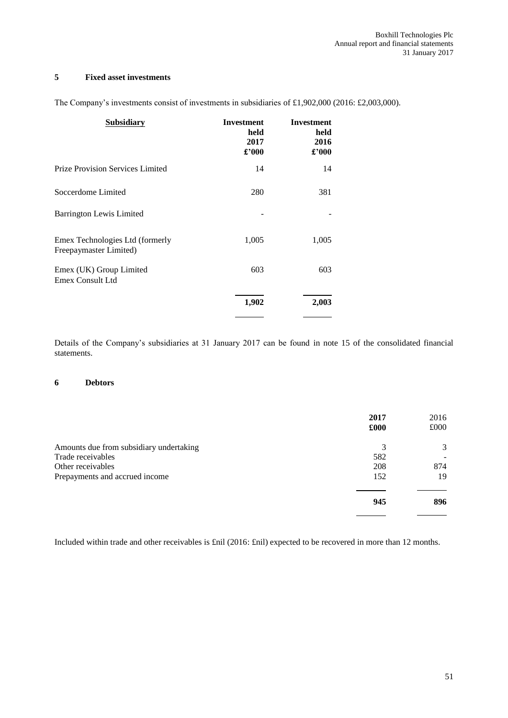#### **5 Fixed asset investments**

|  |  |  |  | The Company's investments consist of investments in subsidiaries of £1,902,000 (2016: £2,003,000). |  |  |  |  |  |  |
|--|--|--|--|----------------------------------------------------------------------------------------------------|--|--|--|--|--|--|
|--|--|--|--|----------------------------------------------------------------------------------------------------|--|--|--|--|--|--|

| <b>Subsidiary</b>                                         | <b>Investment</b><br>held<br>2017<br>$\pounds$ '000 | <b>Investment</b><br>held<br>2016<br>$\pmb{\pounds}^{\pmb{\cdot}} 000$ |
|-----------------------------------------------------------|-----------------------------------------------------|------------------------------------------------------------------------|
| <b>Prize Provision Services Limited</b>                   | 14                                                  | 14                                                                     |
| Soccerdome Limited                                        | 280                                                 | 381                                                                    |
| Barrington Lewis Limited                                  |                                                     |                                                                        |
| Emex Technologies Ltd (formerly<br>Freepaymaster Limited) | 1,005                                               | 1,005                                                                  |
| Emex (UK) Group Limited<br>Emex Consult Ltd               | 603                                                 | 603                                                                    |
|                                                           | 1,902                                               | 2,003                                                                  |

Details of the Company's subsidiaries at 31 January 2017 can be found in note 15 of the consolidated financial statements.

#### **6 Debtors**

| 2017<br>£000 | 2016<br>£000 |
|--------------|--------------|
| 3            | 3            |
| 582          |              |
| 208          | 874          |
| 152          | 19           |
| 945          | 896          |
|              |              |

Included within trade and other receivables is £nil (2016: £nil) expected to be recovered in more than 12 months.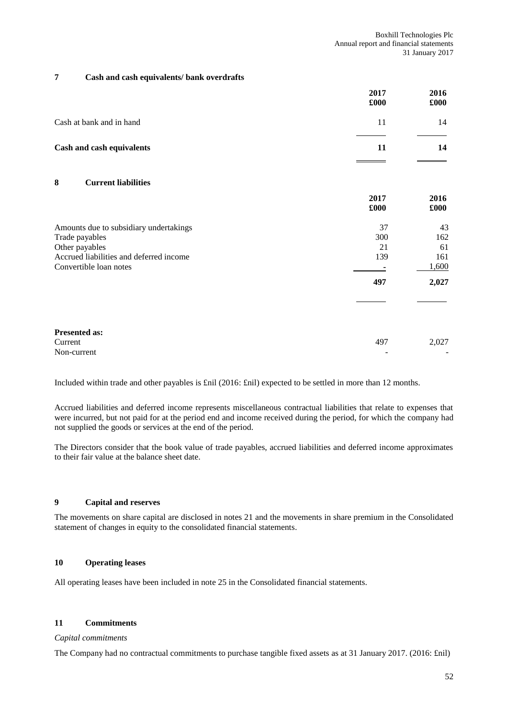#### **7 Cash and cash equivalents/ bank overdrafts**

|                                         | 2017<br>£000 | 2016<br>£000 |
|-----------------------------------------|--------------|--------------|
| Cash at bank and in hand                | 11           | 14           |
| Cash and cash equivalents               | 11           | 14           |
| <b>Current liabilities</b><br>8         |              |              |
|                                         | 2017<br>£000 | 2016<br>£000 |
| Amounts due to subsidiary undertakings  | 37           | 43           |
| Trade payables                          | 300          | 162          |
| Other payables                          | 21           | 61           |
| Accrued liabilities and deferred income | 139          | 161          |
| Convertible loan notes                  |              | 1,600        |
|                                         | 497          | 2,027        |
|                                         |              |              |
| <b>Presented as:</b>                    |              |              |

Included within trade and other payables is £nil (2016: £nil) expected to be settled in more than 12 months.

Accrued liabilities and deferred income represents miscellaneous contractual liabilities that relate to expenses that were incurred, but not paid for at the period end and income received during the period, for which the company had not supplied the goods or services at the end of the period.

 $Current$   $2,027$   $2,027$ Non-current  $\sim$ 

The Directors consider that the book value of trade payables, accrued liabilities and deferred income approximates to their fair value at the balance sheet date.

#### **9 Capital and reserves**

The movements on share capital are disclosed in notes 21 and the movements in share premium in the Consolidated statement of changes in equity to the consolidated financial statements.

#### **10 Operating leases**

All operating leases have been included in note 25 in the Consolidated financial statements.

### **11 Commitments**

#### *Capital commitments*

The Company had no contractual commitments to purchase tangible fixed assets as at 31 January 2017. (2016: £nil)